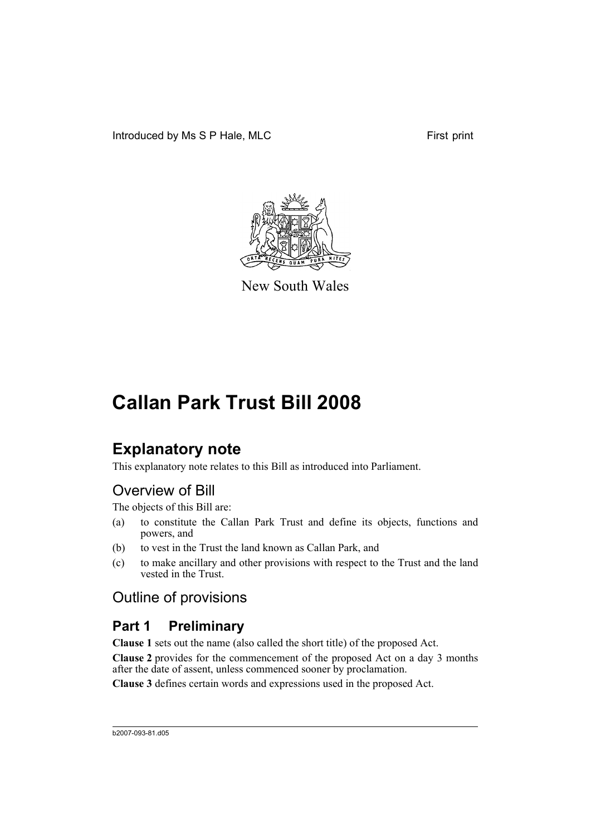

New South Wales

## **Explanatory note**

This explanatory note relates to this Bill as introduced into Parliament.

## Overview of Bill

The objects of this Bill are:

- (a) to constitute the Callan Park Trust and define its objects, functions and powers, and
- (b) to vest in the Trust the land known as Callan Park, and
- (c) to make ancillary and other provisions with respect to the Trust and the land vested in the Trust.

## Outline of provisions

## **Part 1 Preliminary**

**Clause 1** sets out the name (also called the short title) of the proposed Act.

**Clause 2** provides for the commencement of the proposed Act on a day 3 months after the date of assent, unless commenced sooner by proclamation.

**Clause 3** defines certain words and expressions used in the proposed Act.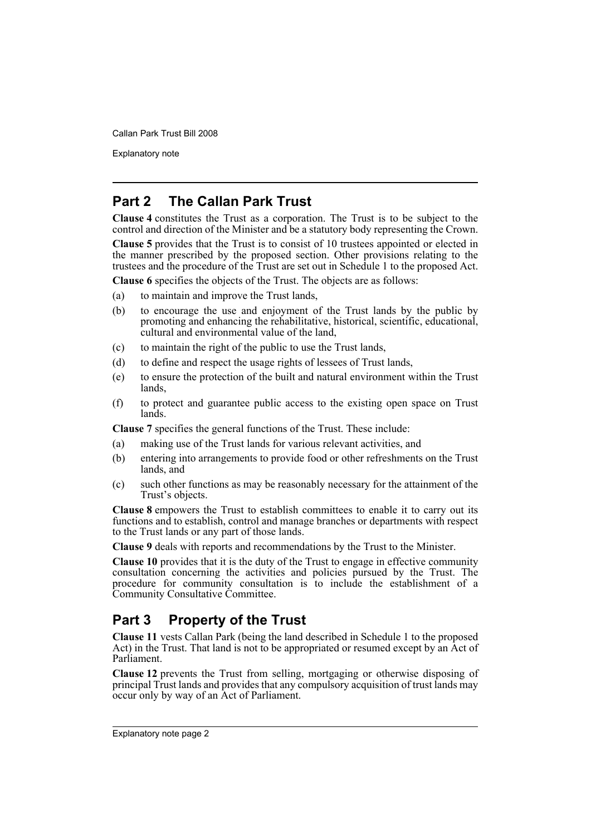Explanatory note

## **Part 2 The Callan Park Trust**

**Clause 4** constitutes the Trust as a corporation. The Trust is to be subject to the control and direction of the Minister and be a statutory body representing the Crown.

**Clause 5** provides that the Trust is to consist of 10 trustees appointed or elected in the manner prescribed by the proposed section. Other provisions relating to the trustees and the procedure of the Trust are set out in Schedule 1 to the proposed Act.

**Clause 6** specifies the objects of the Trust. The objects are as follows:

- (a) to maintain and improve the Trust lands,
- (b) to encourage the use and enjoyment of the Trust lands by the public by promoting and enhancing the rehabilitative, historical, scientific, educational, cultural and environmental value of the land,
- (c) to maintain the right of the public to use the Trust lands,
- (d) to define and respect the usage rights of lessees of Trust lands,
- (e) to ensure the protection of the built and natural environment within the Trust lands,
- (f) to protect and guarantee public access to the existing open space on Trust lands.

**Clause 7** specifies the general functions of the Trust. These include:

- (a) making use of the Trust lands for various relevant activities, and
- (b) entering into arrangements to provide food or other refreshments on the Trust lands, and
- (c) such other functions as may be reasonably necessary for the attainment of the Trust's objects.

**Clause 8** empowers the Trust to establish committees to enable it to carry out its functions and to establish, control and manage branches or departments with respect to the Trust lands or any part of those lands.

**Clause 9** deals with reports and recommendations by the Trust to the Minister.

**Clause 10** provides that it is the duty of the Trust to engage in effective community consultation concerning the activities and policies pursued by the Trust. The procedure for community consultation is to include the establishment of a Community Consultative Committee.

## **Part 3 Property of the Trust**

**Clause 11** vests Callan Park (being the land described in Schedule 1 to the proposed Act) in the Trust. That land is not to be appropriated or resumed except by an Act of Parliament.

**Clause 12** prevents the Trust from selling, mortgaging or otherwise disposing of principal Trust lands and provides that any compulsory acquisition of trust lands may occur only by way of an Act of Parliament.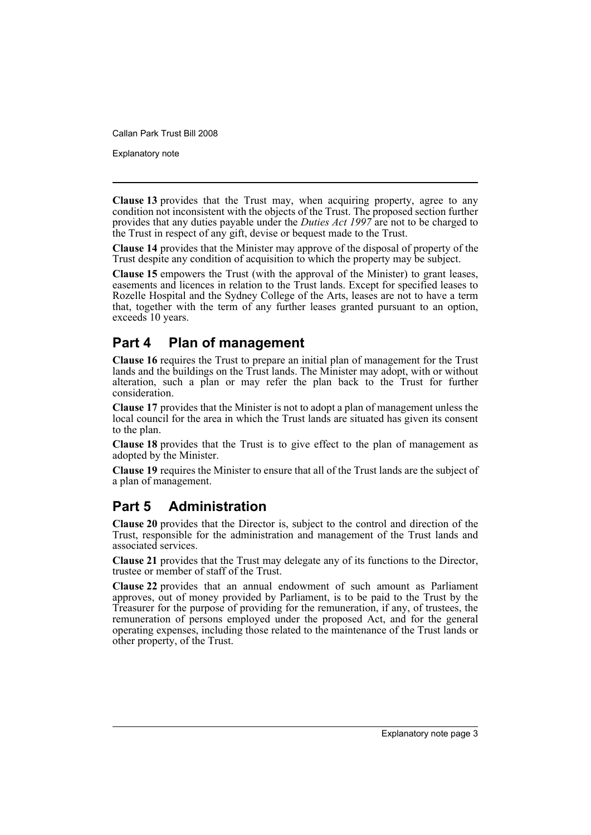Explanatory note

**Clause 13** provides that the Trust may, when acquiring property, agree to any condition not inconsistent with the objects of the Trust. The proposed section further provides that any duties payable under the *Duties Act 1997* are not to be charged to the Trust in respect of any gift, devise or bequest made to the Trust.

**Clause 14** provides that the Minister may approve of the disposal of property of the Trust despite any condition of acquisition to which the property may be subject.

**Clause 15** empowers the Trust (with the approval of the Minister) to grant leases, easements and licences in relation to the Trust lands. Except for specified leases to Rozelle Hospital and the Sydney College of the Arts, leases are not to have a term that, together with the term of any further leases granted pursuant to an option, exceeds 10 years.

## **Part 4 Plan of management**

**Clause 16** requires the Trust to prepare an initial plan of management for the Trust lands and the buildings on the Trust lands. The Minister may adopt, with or without alteration, such a plan or may refer the plan back to the Trust for further consideration.

**Clause 17** provides that the Minister is not to adopt a plan of management unless the local council for the area in which the Trust lands are situated has given its consent to the plan.

**Clause 18** provides that the Trust is to give effect to the plan of management as adopted by the Minister.

**Clause 19** requires the Minister to ensure that all of the Trust lands are the subject of a plan of management.

## **Part 5 Administration**

**Clause 20** provides that the Director is, subject to the control and direction of the Trust, responsible for the administration and management of the Trust lands and associated services.

**Clause 21** provides that the Trust may delegate any of its functions to the Director, trustee or member of staff of the Trust.

**Clause 22** provides that an annual endowment of such amount as Parliament approves, out of money provided by Parliament, is to be paid to the Trust by the Treasurer for the purpose of providing for the remuneration, if any, of trustees, the remuneration of persons employed under the proposed Act, and for the general operating expenses, including those related to the maintenance of the Trust lands or other property, of the Trust.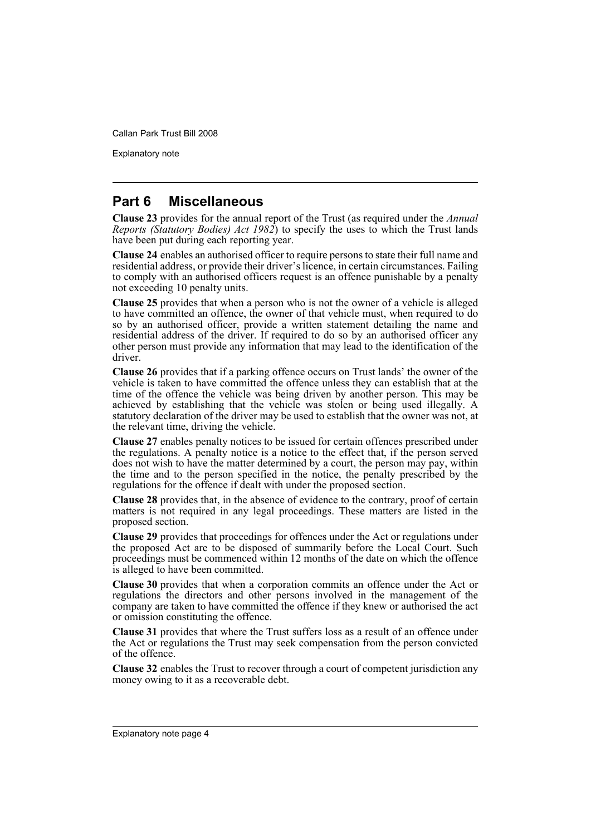Explanatory note

## **Part 6 Miscellaneous**

**Clause 23** provides for the annual report of the Trust (as required under the *Annual Reports (Statutory Bodies) Act 1982*) to specify the uses to which the Trust lands have been put during each reporting year.

**Clause 24** enables an authorised officer to require persons to state their full name and residential address, or provide their driver's licence, in certain circumstances. Failing to comply with an authorised officers request is an offence punishable by a penalty not exceeding 10 penalty units.

**Clause 25** provides that when a person who is not the owner of a vehicle is alleged to have committed an offence, the owner of that vehicle must, when required to do so by an authorised officer, provide a written statement detailing the name and residential address of the driver. If required to do so by an authorised officer any other person must provide any information that may lead to the identification of the driver.

**Clause 26** provides that if a parking offence occurs on Trust lands' the owner of the vehicle is taken to have committed the offence unless they can establish that at the time of the offence the vehicle was being driven by another person. This may be achieved by establishing that the vehicle was stolen or being used illegally. A statutory declaration of the driver may be used to establish that the owner was not, at the relevant time, driving the vehicle.

**Clause 27** enables penalty notices to be issued for certain offences prescribed under the regulations. A penalty notice is a notice to the effect that, if the person served does not wish to have the matter determined by a court, the person may pay, within the time and to the person specified in the notice, the penalty prescribed by the regulations for the offence if dealt with under the proposed section.

**Clause 28** provides that, in the absence of evidence to the contrary, proof of certain matters is not required in any legal proceedings. These matters are listed in the proposed section.

**Clause 29** provides that proceedings for offences under the Act or regulations under the proposed Act are to be disposed of summarily before the Local Court. Such proceedings must be commenced within 12 months of the date on which the offence is alleged to have been committed.

**Clause 30** provides that when a corporation commits an offence under the Act or regulations the directors and other persons involved in the management of the company are taken to have committed the offence if they knew or authorised the act or omission constituting the offence.

**Clause 31** provides that where the Trust suffers loss as a result of an offence under the Act or regulations the Trust may seek compensation from the person convicted of the offence.

**Clause 32** enables the Trust to recover through a court of competent jurisdiction any money owing to it as a recoverable debt.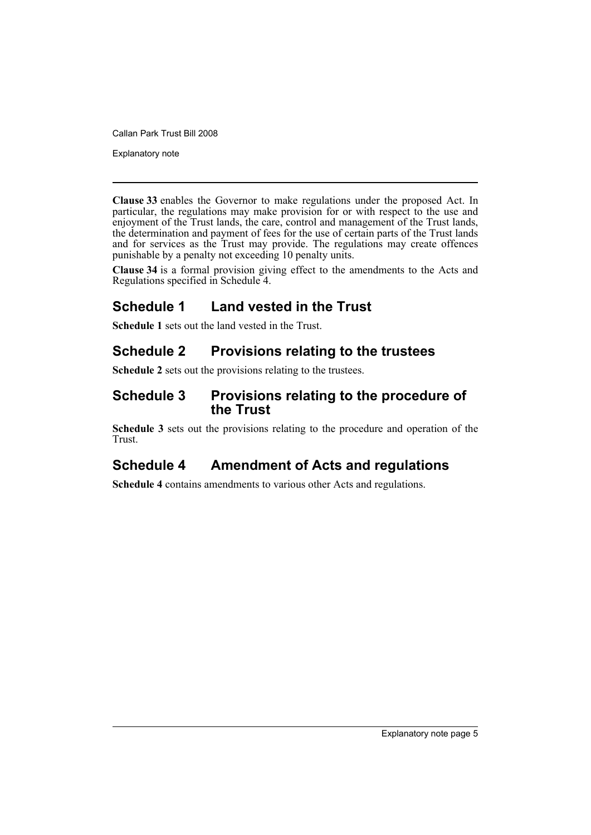Explanatory note

**Clause 33** enables the Governor to make regulations under the proposed Act. In particular, the regulations may make provision for or with respect to the use and enjoyment of the Trust lands, the care, control and management of the Trust lands, the determination and payment of fees for the use of certain parts of the Trust lands and for services as the Trust may provide. The regulations may create offences punishable by a penalty not exceeding 10 penalty units.

**Clause 34** is a formal provision giving effect to the amendments to the Acts and Regulations specified in Schedule 4.

## **Schedule 1 Land vested in the Trust**

**Schedule 1** sets out the land vested in the Trust.

## **Schedule 2 Provisions relating to the trustees**

**Schedule 2** sets out the provisions relating to the trustees.

## **Schedule 3 Provisions relating to the procedure of the Trust**

**Schedule 3** sets out the provisions relating to the procedure and operation of the Trust.

## **Schedule 4 Amendment of Acts and regulations**

**Schedule 4** contains amendments to various other Acts and regulations.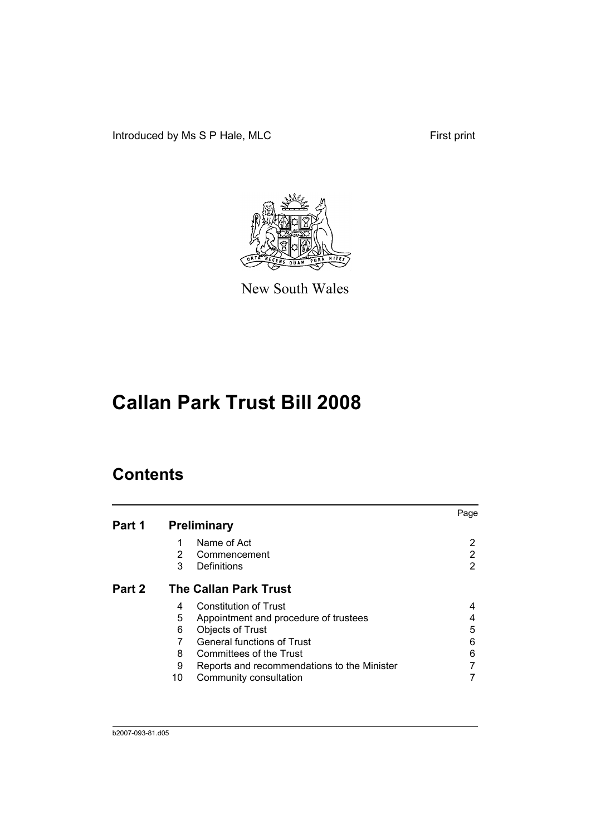Introduced by Ms S P Hale, MLC First print



New South Wales

# **Callan Park Trust Bill 2008**

## **Contents**

|        |                                                  | Page |
|--------|--------------------------------------------------|------|
| Part 1 | <b>Preliminary</b>                               |      |
|        | Name of Act                                      | 2    |
|        | 2<br>Commencement                                | 2    |
|        | 3<br>Definitions                                 | 2    |
| Part 2 | <b>The Callan Park Trust</b>                     |      |
|        | <b>Constitution of Trust</b><br>4                | 4    |
|        | 5<br>Appointment and procedure of trustees       |      |
|        | 6<br><b>Objects of Trust</b>                     | 5    |
|        | <b>General functions of Trust</b>                | 6    |
|        | 8<br>Committees of the Trust                     | 6    |
|        | 9<br>Reports and recommendations to the Minister |      |
|        | Community consultation<br>10                     |      |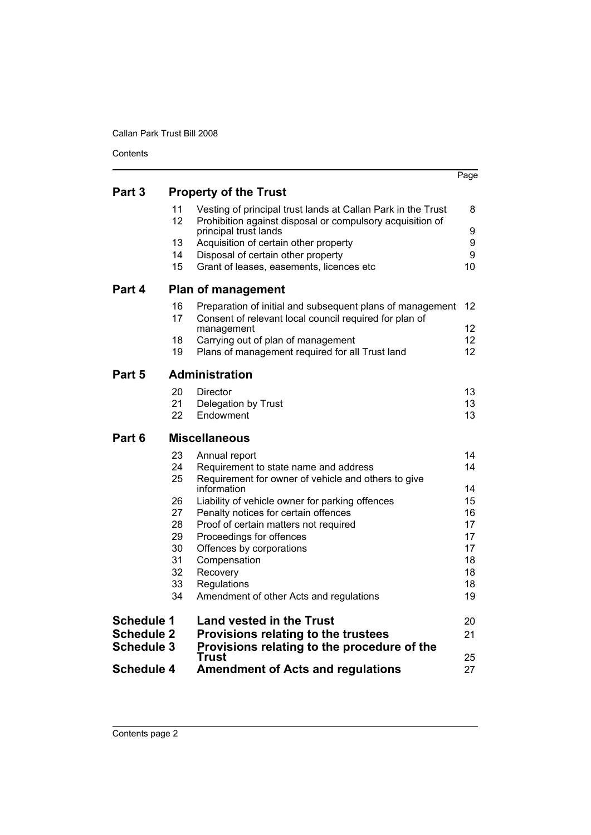|                   |          |                                                                                                                           | Page     |
|-------------------|----------|---------------------------------------------------------------------------------------------------------------------------|----------|
| Part 3            |          | <b>Property of the Trust</b>                                                                                              |          |
|                   | 11<br>12 | Vesting of principal trust lands at Callan Park in the Trust<br>Prohibition against disposal or compulsory acquisition of | 8        |
|                   |          | principal trust lands                                                                                                     | 9        |
|                   | 13<br>14 | Acquisition of certain other property<br>Disposal of certain other property                                               | 9<br>9   |
|                   | 15       | Grant of leases, easements, licences etc                                                                                  | 10       |
| Part 4            |          | <b>Plan of management</b>                                                                                                 |          |
|                   | 16<br>17 | Preparation of initial and subsequent plans of management<br>Consent of relevant local council required for plan of       | 12       |
|                   |          | management                                                                                                                | 12       |
|                   | 18<br>19 | Carrying out of plan of management<br>Plans of management required for all Trust land                                     | 12<br>12 |
|                   |          |                                                                                                                           |          |
| Part 5            |          | <b>Administration</b>                                                                                                     |          |
|                   | 20<br>21 | Director                                                                                                                  | 13       |
|                   | 22       | Delegation by Trust<br>Endowment                                                                                          | 13<br>13 |
| Part 6            |          | <b>Miscellaneous</b>                                                                                                      |          |
|                   | 23       | Annual report                                                                                                             | 14       |
|                   | 24<br>25 | Requirement to state name and address<br>Requirement for owner of vehicle and others to give                              | 14       |
|                   |          | information                                                                                                               | 14       |
|                   | 26<br>27 | Liability of vehicle owner for parking offences                                                                           | 15       |
|                   | 28       | Penalty notices for certain offences<br>Proof of certain matters not required                                             | 16<br>17 |
|                   | 29       | Proceedings for offences                                                                                                  | 17       |
|                   | 30       | Offences by corporations                                                                                                  | 17       |
|                   | 31<br>32 | Compensation<br>Recovery                                                                                                  | 18<br>18 |
|                   | 33       | Regulations                                                                                                               | 18       |
|                   | 34       | Amendment of other Acts and regulations                                                                                   | 19       |
| <b>Schedule 1</b> |          | <b>Land vested in the Trust</b>                                                                                           | 20       |
| <b>Schedule 2</b> |          | Provisions relating to the trustees                                                                                       | 21       |
| <b>Schedule 3</b> |          | Provisions relating to the procedure of the<br>Trust                                                                      | 25       |
| <b>Schedule 4</b> |          | <b>Amendment of Acts and regulations</b>                                                                                  | 27       |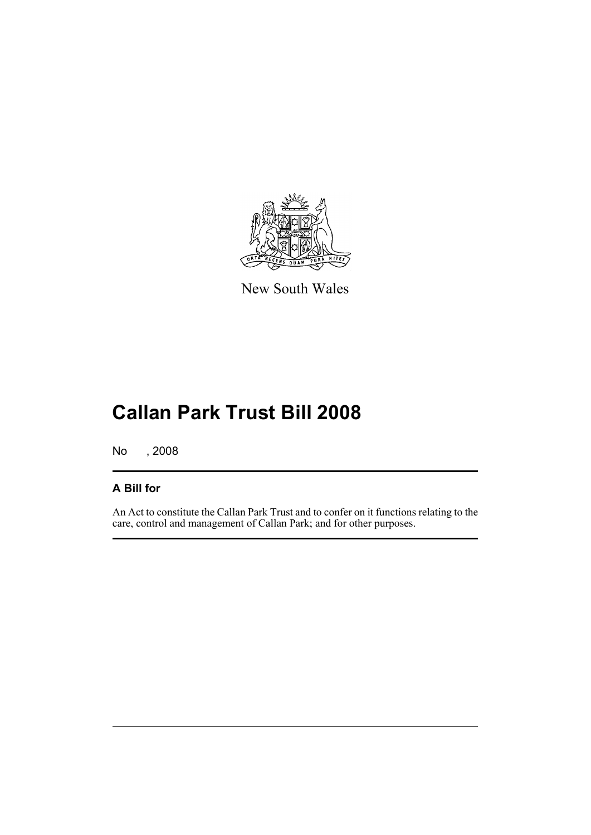

New South Wales

# **Callan Park Trust Bill 2008**

No , 2008

## **A Bill for**

An Act to constitute the Callan Park Trust and to confer on it functions relating to the care, control and management of Callan Park; and for other purposes.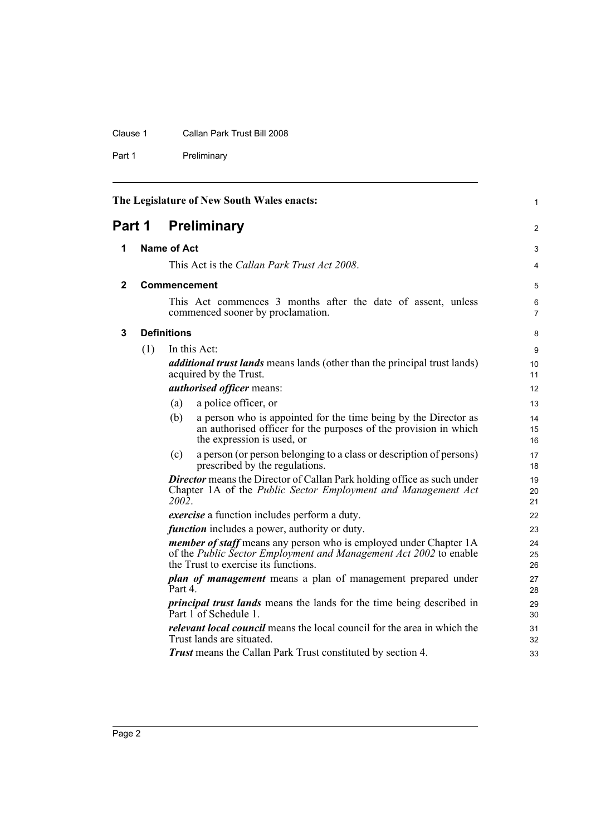#### Clause 1 Callan Park Trust Bill 2008

Part 1 Preliminary

<span id="page-9-3"></span><span id="page-9-2"></span><span id="page-9-1"></span><span id="page-9-0"></span>

|   |                              |                     | The Legislature of New South Wales enacts:                                                                                                                                            | 1              |
|---|------------------------------|---------------------|---------------------------------------------------------------------------------------------------------------------------------------------------------------------------------------|----------------|
|   | Part 1<br><b>Preliminary</b> |                     |                                                                                                                                                                                       | 2              |
| 1 |                              | <b>Name of Act</b>  |                                                                                                                                                                                       | 3              |
|   |                              |                     | This Act is the Callan Park Trust Act 2008.                                                                                                                                           | 4              |
| 2 |                              | <b>Commencement</b> |                                                                                                                                                                                       | 5              |
|   |                              |                     | This Act commences 3 months after the date of assent, unless<br>commenced sooner by proclamation.                                                                                     | 6<br>7         |
| 3 |                              | <b>Definitions</b>  |                                                                                                                                                                                       | 8              |
|   | (1)                          |                     | In this Act:                                                                                                                                                                          | 9              |
|   |                              |                     | <i>additional trust lands</i> means lands (other than the principal trust lands)<br>acquired by the Trust.                                                                            | 10<br>11       |
|   |                              |                     | authorised officer means:                                                                                                                                                             | 12             |
|   |                              | (a)                 | a police officer, or                                                                                                                                                                  | 13             |
|   |                              | (b)                 | a person who is appointed for the time being by the Director as<br>an authorised officer for the purposes of the provision in which<br>the expression is used, or                     | 14<br>15<br>16 |
|   |                              | (c)                 | a person (or person belonging to a class or description of persons)<br>prescribed by the regulations.                                                                                 | 17<br>18       |
|   |                              | 2002.               | <b>Director</b> means the Director of Callan Park holding office as such under<br>Chapter 1A of the Public Sector Employment and Management Act                                       | 19<br>20<br>21 |
|   |                              |                     | <i>exercise</i> a function includes perform a duty.                                                                                                                                   | 22             |
|   |                              |                     | <i>function</i> includes a power, authority or duty.                                                                                                                                  | 23             |
|   |                              |                     | <i>member of staff</i> means any person who is employed under Chapter 1A<br>of the Public Sector Employment and Management Act 2002 to enable<br>the Trust to exercise its functions. | 24<br>25<br>26 |
|   |                              | Part 4.             | <i>plan of management</i> means a plan of management prepared under                                                                                                                   | 27<br>28       |
|   |                              |                     | <i>principal trust lands</i> means the lands for the time being described in<br>Part 1 of Schedule 1.                                                                                 | 29<br>30       |
|   |                              |                     | <i>relevant local council</i> means the local council for the area in which the<br>Trust lands are situated.                                                                          | 31<br>32       |
|   |                              |                     | <b>Trust</b> means the Callan Park Trust constituted by section 4.                                                                                                                    | 33             |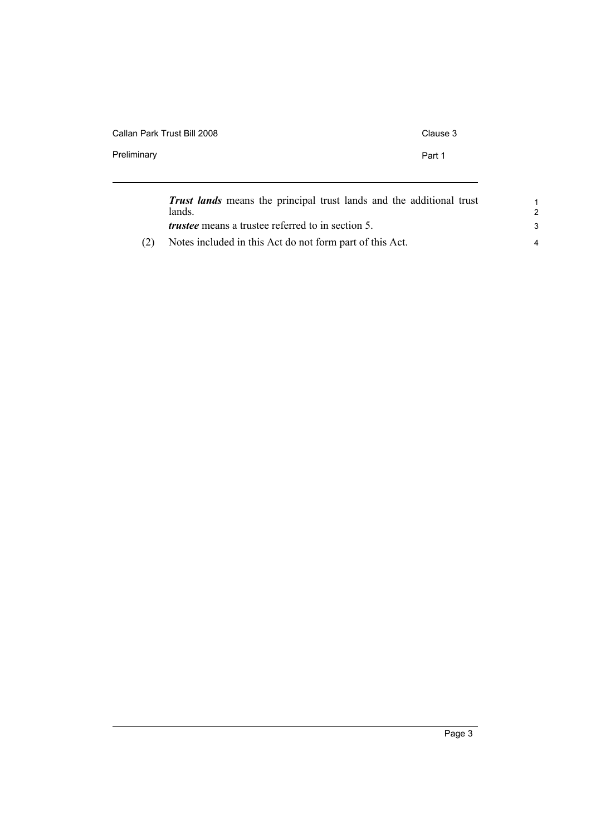| Callan Park Trust Bill 2008                                                 | Clause 3 |
|-----------------------------------------------------------------------------|----------|
| Preliminary                                                                 | Part 1   |
|                                                                             |          |
| Tweet <i>lands</i> means the principal trust lands and the additional trust |          |

|     | <b>Trust lands</b> means the principal trust lands and the additional trust<br>lands. |  |
|-----|---------------------------------------------------------------------------------------|--|
|     | <i>trustee</i> means a trustee referred to in section 5.                              |  |
| (2) | Notes included in this Act do not form part of this Act.                              |  |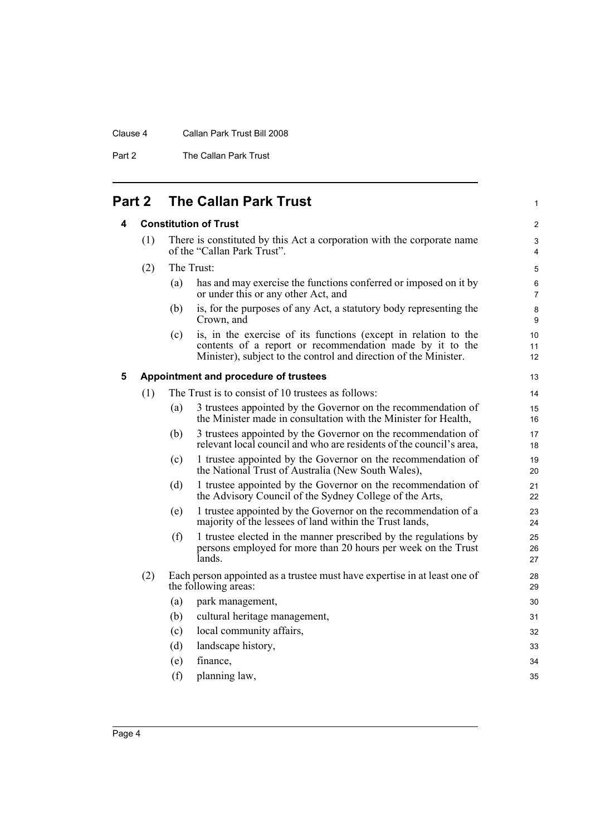#### Clause 4 Callan Park Trust Bill 2008

Part 2 The Callan Park Trust

## <span id="page-11-1"></span><span id="page-11-0"></span>**Part 2 The Callan Park Trust**

#### **4 Constitution of Trust**

| (1) | There is constituted by this Act a corporation with the corporate name |
|-----|------------------------------------------------------------------------|
|     | of the "Callan Park Trust".                                            |

- (2) The Trust:
	- (a) has and may exercise the functions conferred or imposed on it by or under this or any other Act, and

1

- (b) is, for the purposes of any Act, a statutory body representing the Crown, and
- (c) is, in the exercise of its functions (except in relation to the contents of a report or recommendation made by it to the Minister), subject to the control and direction of the Minister.

#### <span id="page-11-2"></span>**5 Appointment and procedure of trustees**

| (1) |  |  | The Trust is to consist of 10 trustees as follows: |
|-----|--|--|----------------------------------------------------|
|-----|--|--|----------------------------------------------------|

- (a) 3 trustees appointed by the Governor on the recommendation of the Minister made in consultation with the Minister for Health, (b) 3 trustees appointed by the Governor on the recommendation of relevant local council and who are residents of the council's area,
- (c) 1 trustee appointed by the Governor on the recommendation of the National Trust of Australia (New South Wales),
- (d) 1 trustee appointed by the Governor on the recommendation of the Advisory Council of the Sydney College of the Arts,
- (e) 1 trustee appointed by the Governor on the recommendation of a majority of the lessees of land within the Trust lands,
- (f) 1 trustee elected in the manner prescribed by the regulations by persons employed for more than 20 hours per week on the Trust lands.
- (2) Each person appointed as a trustee must have expertise in at least one of the following areas:
	- (a) park management, (b) cultural heritage management, (c) local community affairs, (d) landscape history, (e) finance, (f) planning law, 30 31 32 33 34 35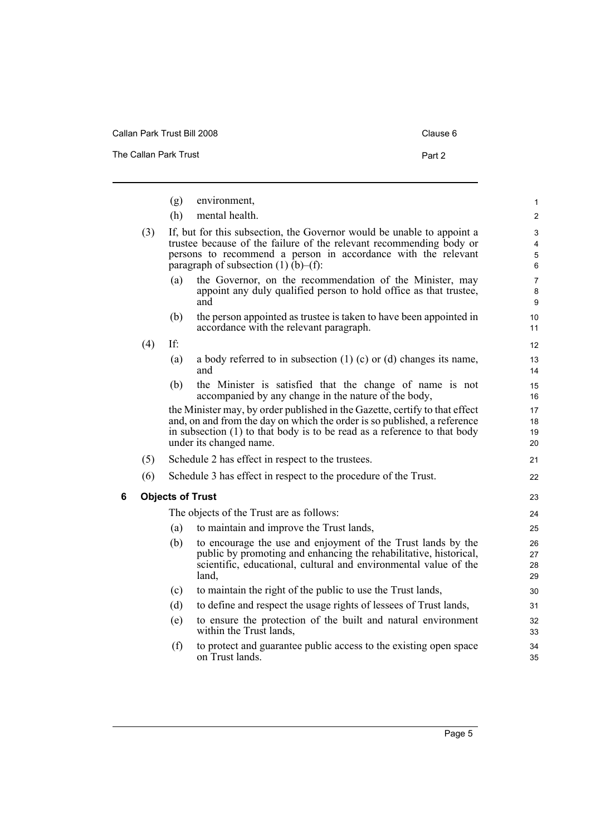Callan Park Trust Bill 2008 Clause 6

The Callan Park Trust **Part 2** 

<span id="page-12-0"></span>

|   |     | (g)<br>(h) | environment,<br>mental health.                                                                                                                                                                                                                                   | 1<br>$\overline{c}$      |
|---|-----|------------|------------------------------------------------------------------------------------------------------------------------------------------------------------------------------------------------------------------------------------------------------------------|--------------------------|
|   | (3) |            | If, but for this subsection, the Governor would be unable to appoint a<br>trustee because of the failure of the relevant recommending body or<br>persons to recommend a person in accordance with the relevant<br>paragraph of subsection $(1)$ $(b)$ – $(f)$ :  | 3<br>4<br>5<br>6         |
|   |     | (a)        | the Governor, on the recommendation of the Minister, may<br>appoint any duly qualified person to hold office as that trustee,<br>and                                                                                                                             | $\overline{7}$<br>8<br>9 |
|   |     | (b)        | the person appointed as trustee is taken to have been appointed in<br>accordance with the relevant paragraph.                                                                                                                                                    | 10<br>11                 |
|   | (4) | If:        |                                                                                                                                                                                                                                                                  | 12                       |
|   |     | (a)        | a body referred to in subsection $(1)$ (c) or (d) changes its name,<br>and                                                                                                                                                                                       | 13<br>14                 |
|   |     | (b)        | the Minister is satisfied that the change of name is not<br>accompanied by any change in the nature of the body,                                                                                                                                                 | 15<br>16                 |
|   |     |            | the Minister may, by order published in the Gazette, certify to that effect<br>and, on and from the day on which the order is so published, a reference<br>in subsection $(1)$ to that body is to be read as a reference to that body<br>under its changed name. | 17<br>18<br>19<br>20     |
|   | (5) |            | Schedule 2 has effect in respect to the trustees.                                                                                                                                                                                                                | 21                       |
|   | (6) |            | Schedule 3 has effect in respect to the procedure of the Trust.                                                                                                                                                                                                  | 22                       |
| 6 |     |            | <b>Objects of Trust</b>                                                                                                                                                                                                                                          | 23                       |
|   |     |            | The objects of the Trust are as follows:                                                                                                                                                                                                                         | 24                       |
|   |     | (a)        | to maintain and improve the Trust lands,                                                                                                                                                                                                                         | 25                       |
|   |     | (b)        | to encourage the use and enjoyment of the Trust lands by the<br>public by promoting and enhancing the rehabilitative, historical,<br>scientific, educational, cultural and environmental value of the<br>land,                                                   | 26<br>27<br>28<br>29     |
|   |     | (c)        | to maintain the right of the public to use the Trust lands,                                                                                                                                                                                                      | 30                       |
|   |     | (d)        | to define and respect the usage rights of lessees of Trust lands,                                                                                                                                                                                                | 31                       |
|   |     | (e)        | to ensure the protection of the built and natural environment<br>within the Trust lands,                                                                                                                                                                         | 32<br>33                 |
|   |     | (f)        | to protect and guarantee public access to the existing open space<br>on Trust lands.                                                                                                                                                                             | 34<br>35                 |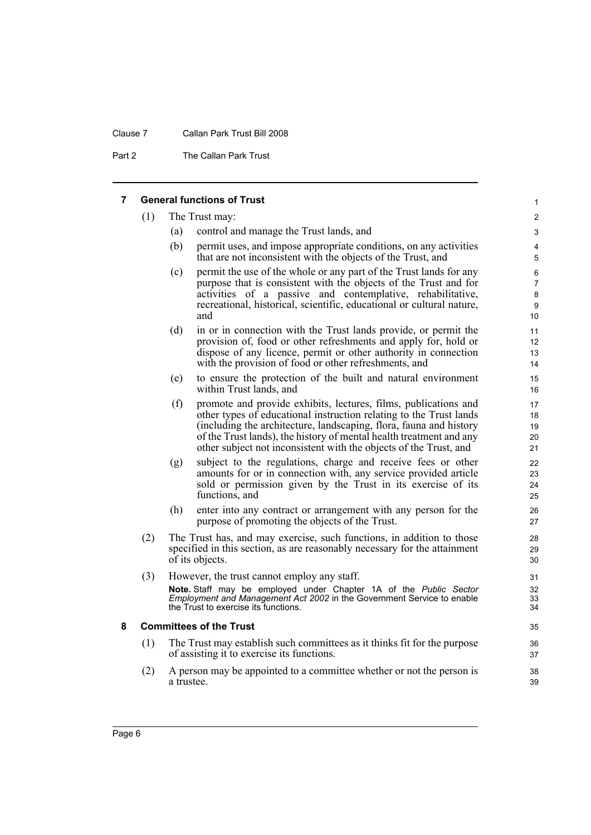### Clause 7 Callan Park Trust Bill 2008

Part 2 The Callan Park Trust

## <span id="page-13-0"></span>**7 General functions of Trust**

<span id="page-13-1"></span>

| 7 |     |                                                                                                                                                                       | <b>General functions of Trust</b>                                                                                                                                                                                                                                                                                                                       | $\mathbf{1}$                        |
|---|-----|-----------------------------------------------------------------------------------------------------------------------------------------------------------------------|---------------------------------------------------------------------------------------------------------------------------------------------------------------------------------------------------------------------------------------------------------------------------------------------------------------------------------------------------------|-------------------------------------|
|   | (1) | The Trust may:                                                                                                                                                        |                                                                                                                                                                                                                                                                                                                                                         |                                     |
|   |     | (a)                                                                                                                                                                   | control and manage the Trust lands, and                                                                                                                                                                                                                                                                                                                 | 3                                   |
|   |     | (b)                                                                                                                                                                   | permit uses, and impose appropriate conditions, on any activities<br>that are not inconsistent with the objects of the Trust, and                                                                                                                                                                                                                       | 4<br>5                              |
|   |     | (c)                                                                                                                                                                   | permit the use of the whole or any part of the Trust lands for any<br>purpose that is consistent with the objects of the Trust and for<br>activities of a passive and contemplative, rehabilitative,<br>recreational, historical, scientific, educational or cultural nature,<br>and                                                                    | 6<br>$\overline{7}$<br>8<br>9<br>10 |
|   |     | (d)                                                                                                                                                                   | in or in connection with the Trust lands provide, or permit the<br>provision of, food or other refreshments and apply for, hold or<br>dispose of any licence, permit or other authority in connection<br>with the provision of food or other refreshments, and                                                                                          | 11<br>12<br>13<br>14                |
|   |     | (e)                                                                                                                                                                   | to ensure the protection of the built and natural environment<br>within Trust lands, and                                                                                                                                                                                                                                                                | 15<br>16                            |
|   |     | (f)                                                                                                                                                                   | promote and provide exhibits, lectures, films, publications and<br>other types of educational instruction relating to the Trust lands<br>(including the architecture, landscaping, flora, fauna and history<br>of the Trust lands), the history of mental health treatment and any<br>other subject not inconsistent with the objects of the Trust, and | 17<br>18<br>19<br>20<br>21          |
|   |     | (g)                                                                                                                                                                   | subject to the regulations, charge and receive fees or other<br>amounts for or in connection with, any service provided article<br>sold or permission given by the Trust in its exercise of its<br>functions, and                                                                                                                                       | 22<br>23<br>24<br>25                |
|   |     | (h)                                                                                                                                                                   | enter into any contract or arrangement with any person for the<br>purpose of promoting the objects of the Trust.                                                                                                                                                                                                                                        | 26<br>27                            |
|   | (2) | The Trust has, and may exercise, such functions, in addition to those<br>specified in this section, as are reasonably necessary for the attainment<br>of its objects. |                                                                                                                                                                                                                                                                                                                                                         | 28<br>29<br>30                      |
|   | (3) |                                                                                                                                                                       | However, the trust cannot employ any staff.<br>Note. Staff may be employed under Chapter 1A of the Public Sector<br>Employment and Management Act 2002 in the Government Service to enable<br>the Trust to exercise its functions.                                                                                                                      | 31<br>32<br>33<br>34                |
| 8 |     |                                                                                                                                                                       | <b>Committees of the Trust</b>                                                                                                                                                                                                                                                                                                                          | 35                                  |
|   | (1) |                                                                                                                                                                       | The Trust may establish such committees as it thinks fit for the purpose<br>of assisting it to exercise its functions.                                                                                                                                                                                                                                  | 36<br>37                            |
|   | (2) | a trustee.                                                                                                                                                            | A person may be appointed to a committee whether or not the person is                                                                                                                                                                                                                                                                                   | 38<br>39                            |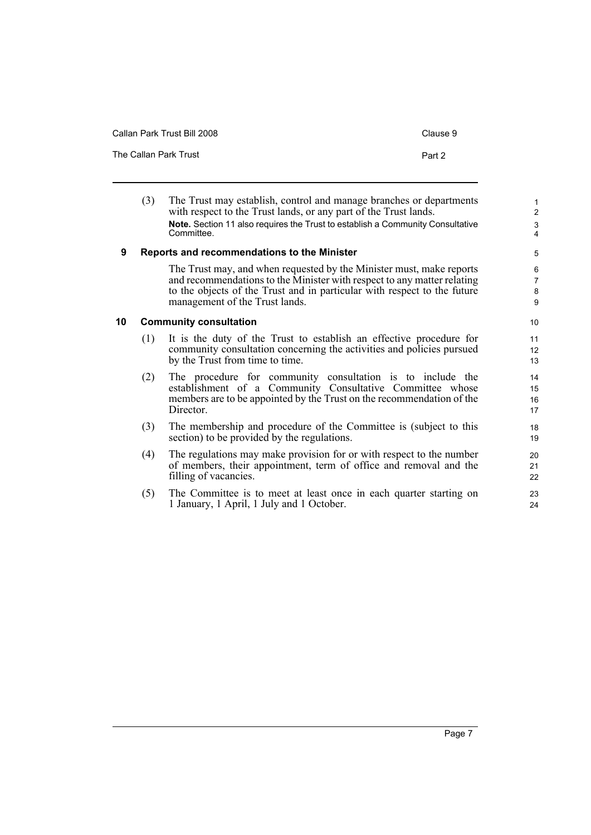| Callan Park Trust Bill 2008 | Clause 9 |
|-----------------------------|----------|
| The Callan Park Trust       | Part 2   |

<span id="page-14-1"></span><span id="page-14-0"></span>

|    | (3) | The Trust may establish, control and manage branches or departments<br>with respect to the Trust lands, or any part of the Trust lands.<br>Note. Section 11 also requires the Trust to establish a Community Consultative<br>Committee.                       | $\mathbf{1}$<br>$\overline{2}$<br>$\mathsf 3$<br>$\overline{\mathbf{4}}$ |
|----|-----|---------------------------------------------------------------------------------------------------------------------------------------------------------------------------------------------------------------------------------------------------------------|--------------------------------------------------------------------------|
| 9  |     | Reports and recommendations to the Minister                                                                                                                                                                                                                   | 5                                                                        |
|    |     | The Trust may, and when requested by the Minister must, make reports<br>and recommendations to the Minister with respect to any matter relating<br>to the objects of the Trust and in particular with respect to the future<br>management of the Trust lands. | 6<br>$\overline{7}$<br>8<br>9                                            |
| 10 |     | <b>Community consultation</b>                                                                                                                                                                                                                                 | 10                                                                       |
|    | (1) | It is the duty of the Trust to establish an effective procedure for<br>community consultation concerning the activities and policies pursued<br>by the Trust from time to time.                                                                               | 11<br>12<br>13                                                           |
|    | (2) | The procedure for community consultation is to include the<br>establishment of a Community Consultative Committee whose<br>members are to be appointed by the Trust on the recommendation of the<br>Director.                                                 | 14<br>15<br>16<br>17                                                     |
|    | (3) | The membership and procedure of the Committee is (subject to this<br>section) to be provided by the regulations.                                                                                                                                              | 18<br>19                                                                 |
|    | (4) | The regulations may make provision for or with respect to the number<br>of members, their appointment, term of office and removal and the<br>filling of vacancies.                                                                                            | 20<br>21<br>22                                                           |
|    | (5) | The Committee is to meet at least once in each quarter starting on                                                                                                                                                                                            | 23                                                                       |

(5) The Committee is to meet at least once in each quarter starting on 1 January, 1 April, 1 July and 1 October.

24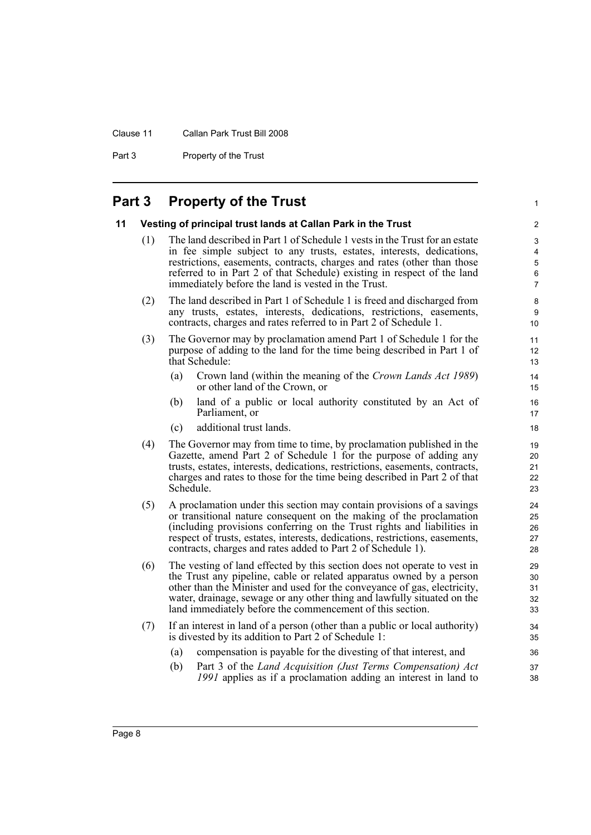#### Clause 11 Callan Park Trust Bill 2008

Part 3 Property of the Trust

## <span id="page-15-0"></span>**Part 3 Property of the Trust**

#### <span id="page-15-1"></span>**11 Vesting of principal trust lands at Callan Park in the Trust**

(1) The land described in Part 1 of Schedule 1 vests in the Trust for an estate in fee simple subject to any trusts, estates, interests, dedications, restrictions, easements, contracts, charges and rates (other than those referred to in Part 2 of that Schedule) existing in respect of the land immediately before the land is vested in the Trust.

1

- (2) The land described in Part 1 of Schedule 1 is freed and discharged from any trusts, estates, interests, dedications, restrictions, easements, contracts, charges and rates referred to in Part 2 of Schedule 1.
- (3) The Governor may by proclamation amend Part 1 of Schedule 1 for the purpose of adding to the land for the time being described in Part 1 of that Schedule:
	- (a) Crown land (within the meaning of the *Crown Lands Act 1989*) or other land of the Crown, or
	- (b) land of a public or local authority constituted by an Act of Parliament, or
	- (c) additional trust lands.
- (4) The Governor may from time to time, by proclamation published in the Gazette, amend Part 2 of Schedule 1 for the purpose of adding any trusts, estates, interests, dedications, restrictions, easements, contracts, charges and rates to those for the time being described in Part 2 of that Schedule.
- (5) A proclamation under this section may contain provisions of a savings or transitional nature consequent on the making of the proclamation (including provisions conferring on the Trust rights and liabilities in respect of trusts, estates, interests, dedications, restrictions, easements, contracts, charges and rates added to Part 2 of Schedule 1).
- (6) The vesting of land effected by this section does not operate to vest in the Trust any pipeline, cable or related apparatus owned by a person other than the Minister and used for the conveyance of gas, electricity, water, drainage, sewage or any other thing and lawfully situated on the land immediately before the commencement of this section.
- (7) If an interest in land of a person (other than a public or local authority) is divested by its addition to Part 2 of Schedule 1:
	- (a) compensation is payable for the divesting of that interest, and
	- (b) Part 3 of the *Land Acquisition (Just Terms Compensation) Act 1991* applies as if a proclamation adding an interest in land to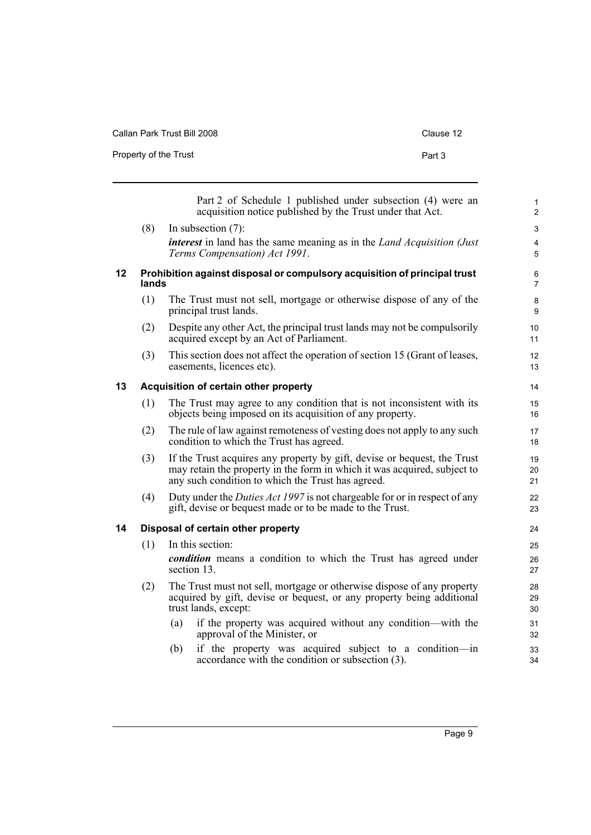| Callan Park Trust Bill 2008 | Clause 12 |
|-----------------------------|-----------|
| Property of the Trust       | Part 3    |

<span id="page-16-2"></span><span id="page-16-1"></span><span id="page-16-0"></span>

|    |       | Part 2 of Schedule 1 published under subsection (4) were an<br>acquisition notice published by the Trust under that Act.                                                                                  | $\mathbf{1}$<br>$\overline{2}$ |
|----|-------|-----------------------------------------------------------------------------------------------------------------------------------------------------------------------------------------------------------|--------------------------------|
|    | (8)   | In subsection $(7)$ :                                                                                                                                                                                     | $\mathfrak{S}$                 |
|    |       | <i>interest</i> in land has the same meaning as in the <i>Land Acquisition (Just</i> )<br>Terms Compensation) Act 1991.                                                                                   | 4<br>5                         |
| 12 | lands | Prohibition against disposal or compulsory acquisition of principal trust                                                                                                                                 | 6<br>$\overline{7}$            |
|    | (1)   | The Trust must not sell, mortgage or otherwise dispose of any of the<br>principal trust lands.                                                                                                            | 8<br>9                         |
|    | (2)   | Despite any other Act, the principal trust lands may not be compulsorily<br>acquired except by an Act of Parliament.                                                                                      | 10<br>11                       |
|    | (3)   | This section does not affect the operation of section 15 (Grant of leases,<br>easements, licences etc).                                                                                                   | 12<br>13                       |
| 13 |       | Acquisition of certain other property                                                                                                                                                                     | 14                             |
|    | (1)   | The Trust may agree to any condition that is not inconsistent with its<br>objects being imposed on its acquisition of any property.                                                                       | 15<br>16                       |
|    | (2)   | The rule of law against remoteness of vesting does not apply to any such<br>condition to which the Trust has agreed.                                                                                      | 17<br>18                       |
|    | (3)   | If the Trust acquires any property by gift, devise or bequest, the Trust<br>may retain the property in the form in which it was acquired, subject to<br>any such condition to which the Trust has agreed. | 19<br>20<br>21                 |
|    | (4)   | Duty under the <i>Duties Act 1997</i> is not chargeable for or in respect of any<br>gift, devise or bequest made or to be made to the Trust.                                                              | 22<br>23                       |
| 14 |       | Disposal of certain other property                                                                                                                                                                        | 24                             |
|    | (1)   | In this section:                                                                                                                                                                                          | 25                             |
|    |       | <i>condition</i> means a condition to which the Trust has agreed under<br>section 13.                                                                                                                     | 26<br>27                       |
|    | (2)   | The Trust must not sell, mortgage or otherwise dispose of any property<br>acquired by gift, devise or bequest, or any property being additional<br>trust lands, except:                                   | 28<br>29<br>30                 |
|    |       | (a)<br>if the property was acquired without any condition—with the<br>approval of the Minister, or                                                                                                        | 31<br>32                       |
|    |       | if the property was acquired subject to a condition-in<br>(b)<br>accordance with the condition or subsection (3).                                                                                         | 33<br>34                       |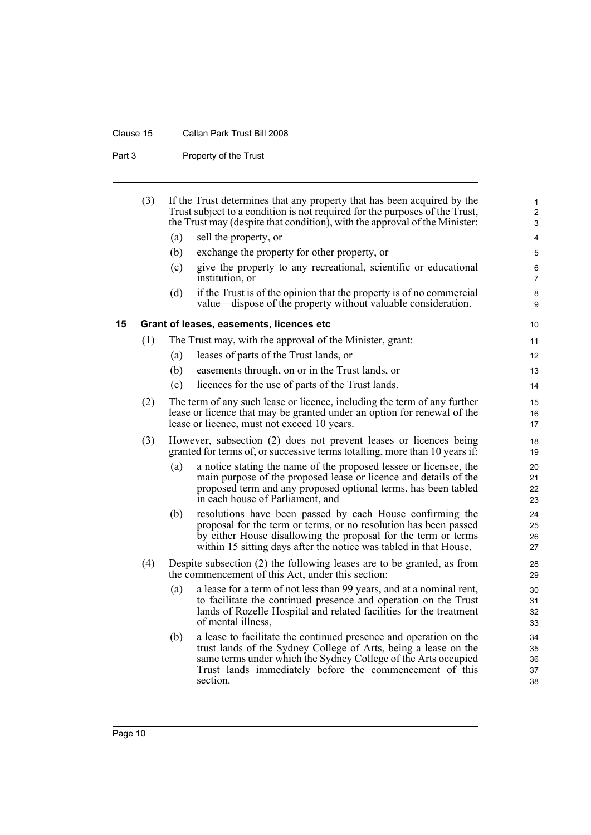## Clause 15 Callan Park Trust Bill 2008

Part 3 Property of the Trust

<span id="page-17-0"></span>

|    | (3) |     | If the Trust determines that any property that has been acquired by the<br>Trust subject to a condition is not required for the purposes of the Trust,<br>the Trust may (despite that condition), with the approval of the Minister:                                          | $\mathbf{1}$<br>$\mathbf{2}$<br>3 |
|----|-----|-----|-------------------------------------------------------------------------------------------------------------------------------------------------------------------------------------------------------------------------------------------------------------------------------|-----------------------------------|
|    |     |     |                                                                                                                                                                                                                                                                               |                                   |
|    |     | (a) | sell the property, or                                                                                                                                                                                                                                                         | 4                                 |
|    |     | (b) | exchange the property for other property, or                                                                                                                                                                                                                                  | 5                                 |
|    |     | (c) | give the property to any recreational, scientific or educational<br>institution, or                                                                                                                                                                                           | $\,6$<br>$\overline{7}$           |
|    |     | (d) | if the Trust is of the opinion that the property is of no commercial<br>value—dispose of the property without valuable consideration.                                                                                                                                         | 8<br>9                            |
| 15 |     |     | Grant of leases, easements, licences etc                                                                                                                                                                                                                                      | 10                                |
|    | (1) |     | The Trust may, with the approval of the Minister, grant:                                                                                                                                                                                                                      | 11                                |
|    |     | (a) | leases of parts of the Trust lands, or                                                                                                                                                                                                                                        | 12                                |
|    |     | (b) | easements through, on or in the Trust lands, or                                                                                                                                                                                                                               | 13                                |
|    |     | (c) | licences for the use of parts of the Trust lands.                                                                                                                                                                                                                             | 14                                |
|    | (2) |     | The term of any such lease or licence, including the term of any further<br>lease or licence that may be granted under an option for renewal of the<br>lease or licence, must not exceed 10 years.                                                                            | 15<br>16<br>17                    |
|    | (3) |     | However, subsection (2) does not prevent leases or licences being<br>granted for terms of, or successive terms totalling, more than 10 years if:                                                                                                                              | 18<br>19                          |
|    |     | (a) | a notice stating the name of the proposed lessee or licensee, the<br>main purpose of the proposed lease or licence and details of the<br>proposed term and any proposed optional terms, has been tabled<br>in each house of Parliament, and                                   | 20<br>21<br>22<br>23              |
|    |     | (b) | resolutions have been passed by each House confirming the<br>proposal for the term or terms, or no resolution has been passed<br>by either House disallowing the proposal for the term or terms<br>within 15 sitting days after the notice was tabled in that House.          | 24<br>25<br>26<br>27              |
|    | (4) |     | Despite subsection (2) the following leases are to be granted, as from<br>the commencement of this Act, under this section:                                                                                                                                                   | 28<br>29                          |
|    |     | (a) | a lease for a term of not less than 99 years, and at a nominal rent,<br>to facilitate the continued presence and operation on the Trust<br>lands of Rozelle Hospital and related facilities for the treatment<br>of mental illness,                                           | 30<br>31<br>32<br>33              |
|    |     | (b) | a lease to facilitate the continued presence and operation on the<br>trust lands of the Sydney College of Arts, being a lease on the<br>same terms under which the Sydney College of the Arts occupied<br>Trust lands immediately before the commencement of this<br>section. | 34<br>35<br>36<br>37<br>38        |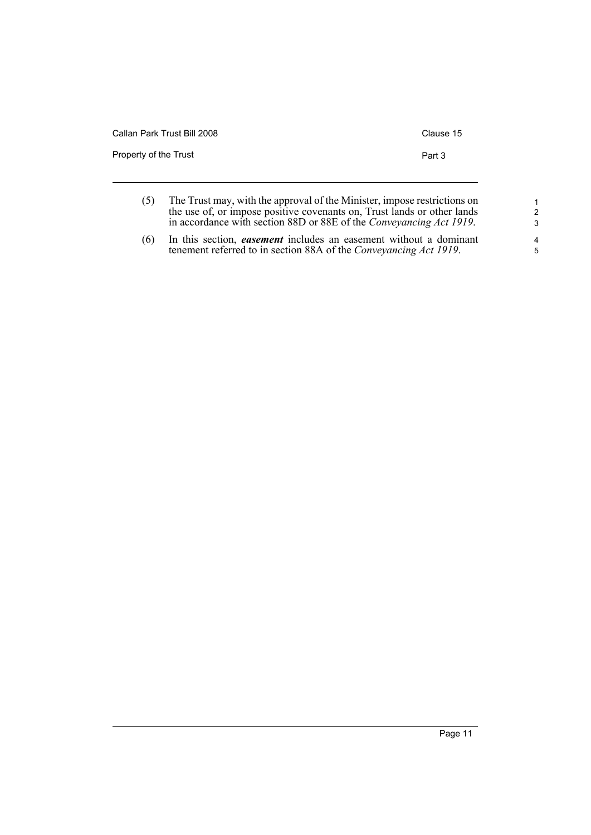| Callan Park Trust Bill 2008 | Clause 15 |
|-----------------------------|-----------|
| Property of the Trust       | Part 3    |
|                             |           |

| (5) | The Trust may, with the approval of the Minister, impose restrictions on    |
|-----|-----------------------------------------------------------------------------|
|     | the use of, or impose positive covenants on, Trust lands or other lands     |
|     | in accordance with section 88D or 88E of the <i>Conveyancing Act 1919</i> . |
|     |                                                                             |

(6) In this section, *easement* includes an easement without a dominant tenement referred to in section 88A of the *Conveyancing Act 1919*.

1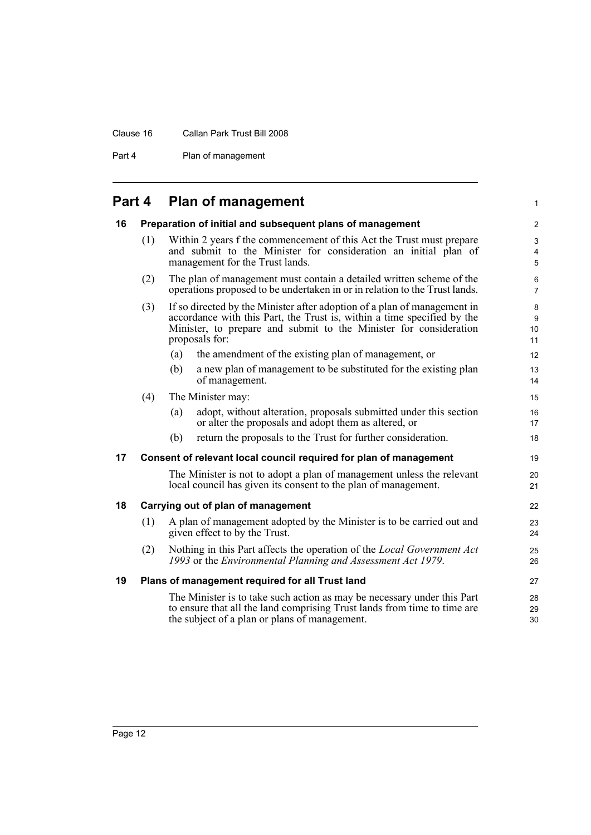### Clause 16 Callan Park Trust Bill 2008

Part 4 Plan of management

## <span id="page-19-0"></span>**Part 4 Plan of management**

<span id="page-19-4"></span><span id="page-19-3"></span><span id="page-19-2"></span><span id="page-19-1"></span>

| 16 |     | Preparation of initial and subsequent plans of management                                                                                                                                                                                  | $\overline{2}$                  |
|----|-----|--------------------------------------------------------------------------------------------------------------------------------------------------------------------------------------------------------------------------------------------|---------------------------------|
|    | (1) | Within 2 years f the commencement of this Act the Trust must prepare<br>and submit to the Minister for consideration an initial plan of<br>management for the Trust lands.                                                                 | 3<br>$\overline{4}$<br>5        |
|    | (2) | The plan of management must contain a detailed written scheme of the<br>operations proposed to be undertaken in or in relation to the Trust lands.                                                                                         | 6<br>$\overline{7}$             |
|    | (3) | If so directed by the Minister after adoption of a plan of management in<br>accordance with this Part, the Trust is, within a time specified by the<br>Minister, to prepare and submit to the Minister for consideration<br>proposals for: | 8<br>9<br>10 <sup>1</sup><br>11 |
|    |     | the amendment of the existing plan of management, or<br>(a)                                                                                                                                                                                | 12                              |
|    |     | (b)<br>a new plan of management to be substituted for the existing plan<br>of management.                                                                                                                                                  | 13<br>14                        |
|    | (4) | The Minister may:                                                                                                                                                                                                                          | 15                              |
|    |     | adopt, without alteration, proposals submitted under this section<br>(a)<br>or alter the proposals and adopt them as altered, or                                                                                                           | 16<br>17                        |
|    |     | return the proposals to the Trust for further consideration.<br>(b)                                                                                                                                                                        | 18                              |
| 17 |     | Consent of relevant local council required for plan of management                                                                                                                                                                          | 19                              |
|    |     | The Minister is not to adopt a plan of management unless the relevant<br>local council has given its consent to the plan of management.                                                                                                    | 20<br>21                        |
| 18 |     | Carrying out of plan of management                                                                                                                                                                                                         | 22                              |
|    | (1) | A plan of management adopted by the Minister is to be carried out and<br>given effect to by the Trust.                                                                                                                                     | 23<br>24                        |
|    | (2) | Nothing in this Part affects the operation of the <i>Local Government Act</i><br>1993 or the Environmental Planning and Assessment Act 1979.                                                                                               | 25<br>26                        |
| 19 |     | Plans of management required for all Trust land                                                                                                                                                                                            | 27                              |
|    |     | The Minister is to take such action as may be necessary under this Part<br>to ensure that all the land comprising Trust lands from time to time are<br>the subject of a plan or plans of management.                                       | 28<br>29<br>30                  |

1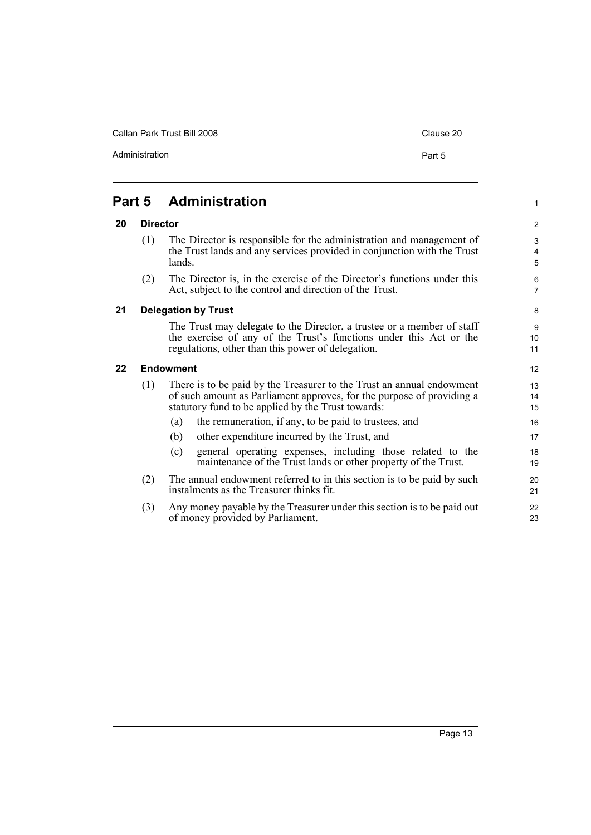Callan Park Trust Bill 2008 Clause 20

Administration **Part 5** 

1

## <span id="page-20-0"></span>**Part 5 Administration**

### <span id="page-20-1"></span>**20 Director**

- (1) The Director is responsible for the administration and management of the Trust lands and any services provided in conjunction with the Trust lands.
- (2) The Director is, in the exercise of the Director's functions under this Act, subject to the control and direction of the Trust.

#### <span id="page-20-2"></span>**21 Delegation by Trust**

The Trust may delegate to the Director, a trustee or a member of staff the exercise of any of the Trust's functions under this Act or the regulations, other than this power of delegation.

#### <span id="page-20-3"></span>**22 Endowment**

- (1) There is to be paid by the Treasurer to the Trust an annual endowment of such amount as Parliament approves, for the purpose of providing a statutory fund to be applied by the Trust towards:
	- (a) the remuneration, if any, to be paid to trustees, and
	- (b) other expenditure incurred by the Trust, and
	- (c) general operating expenses, including those related to the maintenance of the Trust lands or other property of the Trust.
- (2) The annual endowment referred to in this section is to be paid by such instalments as the Treasurer thinks fit.
- (3) Any money payable by the Treasurer under this section is to be paid out of money provided by Parliament.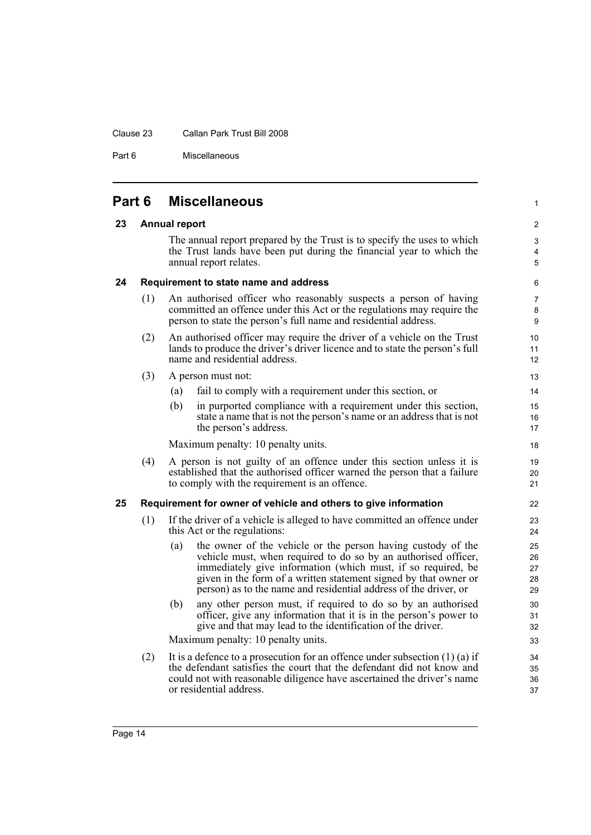#### Clause 23 Callan Park Trust Bill 2008

Part 6 Miscellaneous

<span id="page-21-3"></span><span id="page-21-2"></span><span id="page-21-1"></span><span id="page-21-0"></span>

|    | Part 6 | <b>Miscellaneous</b>                                                                                                                                                                                                                                                                                                                          |
|----|--------|-----------------------------------------------------------------------------------------------------------------------------------------------------------------------------------------------------------------------------------------------------------------------------------------------------------------------------------------------|
| 23 |        | <b>Annual report</b>                                                                                                                                                                                                                                                                                                                          |
|    |        | The annual report prepared by the Trust is to specify the uses to which<br>the Trust lands have been put during the financial year to which the<br>annual report relates.                                                                                                                                                                     |
| 24 |        | Requirement to state name and address                                                                                                                                                                                                                                                                                                         |
|    | (1)    | An authorised officer who reasonably suspects a person of having<br>committed an offence under this Act or the regulations may require the<br>person to state the person's full name and residential address.                                                                                                                                 |
|    | (2)    | An authorised officer may require the driver of a vehicle on the Trust<br>lands to produce the driver's driver licence and to state the person's full<br>name and residential address.                                                                                                                                                        |
|    | (3)    | A person must not:                                                                                                                                                                                                                                                                                                                            |
|    |        | fail to comply with a requirement under this section, or<br>(a)                                                                                                                                                                                                                                                                               |
|    |        | in purported compliance with a requirement under this section,<br>(b)<br>state a name that is not the person's name or an address that is not<br>the person's address.                                                                                                                                                                        |
|    |        | Maximum penalty: 10 penalty units.                                                                                                                                                                                                                                                                                                            |
|    | (4)    | A person is not guilty of an offence under this section unless it is<br>established that the authorised officer warned the person that a failure<br>to comply with the requirement is an offence.                                                                                                                                             |
| 25 |        | Requirement for owner of vehicle and others to give information                                                                                                                                                                                                                                                                               |
|    | (1)    | If the driver of a vehicle is alleged to have committed an offence under<br>this Act or the regulations:                                                                                                                                                                                                                                      |
|    |        | the owner of the vehicle or the person having custody of the<br>(a)<br>vehicle must, when required to do so by an authorised officer,<br>immediately give information (which must, if so required, be<br>given in the form of a written statement signed by that owner or<br>person) as to the name and residential address of the driver, or |
|    |        | any other person must, if required to do so by an authorised<br>(b)<br>officer, give any information that it is in the person's power to<br>give and that may lead to the identification of the driver.                                                                                                                                       |
|    |        | Maximum penalty: 10 penalty units.                                                                                                                                                                                                                                                                                                            |
|    | (2)    | It is a defence to a prosecution for an offence under subsection $(1)$ $(a)$ if<br>the defendant satisfies the court that the defendant did not know and<br>could not with reasonable diligence have ascertained the driver's name<br>or residential address.                                                                                 |

1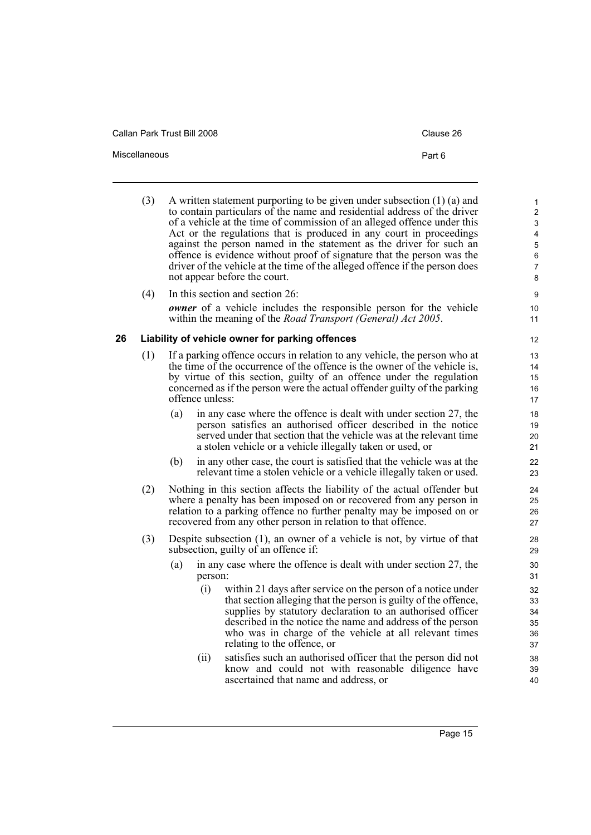Callan Park Trust Bill 2008 Callan Park Trust Bill 2008

- Miscellaneous **Part 6** 
	- (3) A written statement purporting to be given under subsection (1) (a) and to contain particulars of the name and residential address of the driver of a vehicle at the time of commission of an alleged offence under this Act or the regulations that is produced in any court in proceedings against the person named in the statement as the driver for such an offence is evidence without proof of signature that the person was the driver of the vehicle at the time of the alleged offence if the person does not appear before the court.

(4) In this section and section 26: *owner* of a vehicle includes the responsible person for the vehicle within the meaning of the *Road Transport (General) Act 2005*.

#### <span id="page-22-0"></span>**26 Liability of vehicle owner for parking offences**

- (1) If a parking offence occurs in relation to any vehicle, the person who at the time of the occurrence of the offence is the owner of the vehicle is, by virtue of this section, guilty of an offence under the regulation concerned as if the person were the actual offender guilty of the parking offence unless:
	- (a) in any case where the offence is dealt with under section 27, the person satisfies an authorised officer described in the notice served under that section that the vehicle was at the relevant time a stolen vehicle or a vehicle illegally taken or used, or
	- (b) in any other case, the court is satisfied that the vehicle was at the relevant time a stolen vehicle or a vehicle illegally taken or used.
- (2) Nothing in this section affects the liability of the actual offender but where a penalty has been imposed on or recovered from any person in relation to a parking offence no further penalty may be imposed on or recovered from any other person in relation to that offence.
- (3) Despite subsection (1), an owner of a vehicle is not, by virtue of that subsection, guilty of an offence if:
	- (a) in any case where the offence is dealt with under section 27, the person:
		- (i) within 21 days after service on the person of a notice under that section alleging that the person is guilty of the offence, supplies by statutory declaration to an authorised officer described in the notice the name and address of the person who was in charge of the vehicle at all relevant times relating to the offence, or
		- (ii) satisfies such an authorised officer that the person did not know and could not with reasonable diligence have ascertained that name and address, or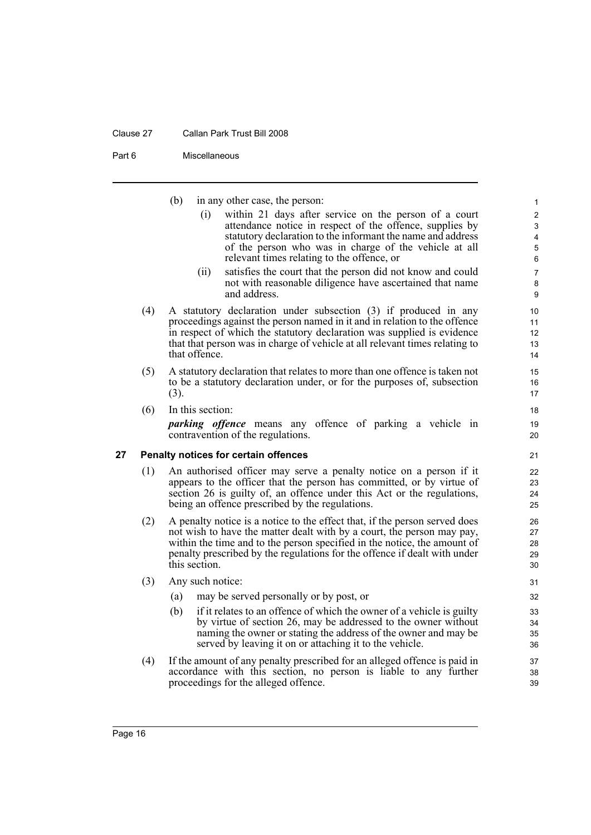#### Clause 27 Callan Park Trust Bill 2008

Part 6 Miscellaneous

(b) in any other case, the person:

(i) within 21 days after service on the person of a court attendance notice in respect of the offence, supplies by statutory declaration to the informant the name and address of the person who was in charge of the vehicle at all relevant times relating to the offence, or

- (ii) satisfies the court that the person did not know and could not with reasonable diligence have ascertained that name and address.
- (4) A statutory declaration under subsection (3) if produced in any proceedings against the person named in it and in relation to the offence in respect of which the statutory declaration was supplied is evidence that that person was in charge of vehicle at all relevant times relating to that offence.
- (5) A statutory declaration that relates to more than one offence is taken not to be a statutory declaration under, or for the purposes of, subsection (3).
- (6) In this section:

*parking offence* means any offence of parking a vehicle in contravention of the regulations.

#### <span id="page-23-0"></span>**27 Penalty notices for certain offences**

- (1) An authorised officer may serve a penalty notice on a person if it appears to the officer that the person has committed, or by virtue of section 26 is guilty of, an offence under this Act or the regulations, being an offence prescribed by the regulations.
- (2) A penalty notice is a notice to the effect that, if the person served does not wish to have the matter dealt with by a court, the person may pay, within the time and to the person specified in the notice, the amount of penalty prescribed by the regulations for the offence if dealt with under this section.
- (3) Any such notice:
	- (a) may be served personally or by post, or
	- (b) if it relates to an offence of which the owner of a vehicle is guilty by virtue of section 26, may be addressed to the owner without naming the owner or stating the address of the owner and may be served by leaving it on or attaching it to the vehicle.
- (4) If the amount of any penalty prescribed for an alleged offence is paid in accordance with this section, no person is liable to any further proceedings for the alleged offence.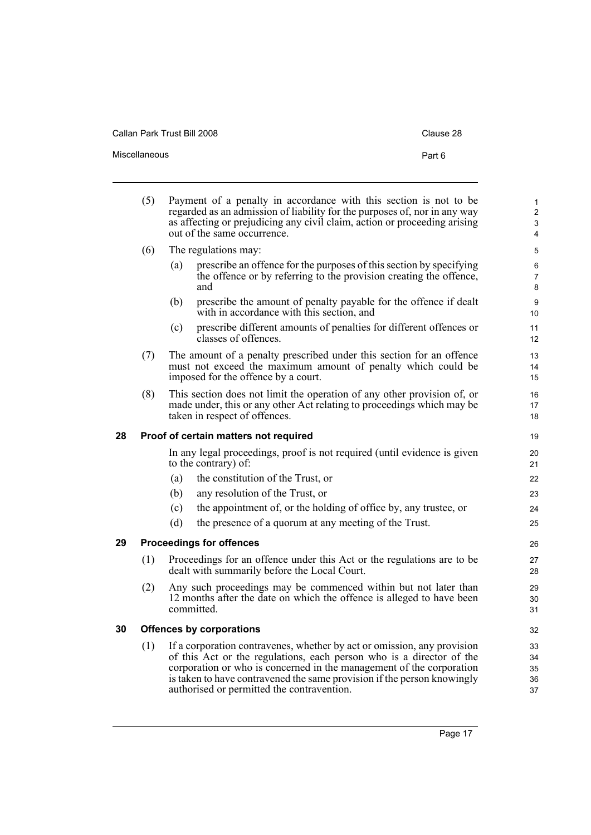| Clause 28 |  |
|-----------|--|
|-----------|--|

<span id="page-24-2"></span><span id="page-24-1"></span><span id="page-24-0"></span>

|    | (5) |     | Payment of a penalty in accordance with this section is not to be<br>regarded as an admission of liability for the purposes of, nor in any way<br>as affecting or prejudicing any civil claim, action or proceeding arising<br>out of the same occurrence.                                                                                       | $\mathbf{1}$<br>$\overline{2}$<br>3<br>$\overline{4}$ |
|----|-----|-----|--------------------------------------------------------------------------------------------------------------------------------------------------------------------------------------------------------------------------------------------------------------------------------------------------------------------------------------------------|-------------------------------------------------------|
|    | (6) |     | The regulations may:                                                                                                                                                                                                                                                                                                                             | 5                                                     |
|    |     | (a) | prescribe an offence for the purposes of this section by specifying<br>the offence or by referring to the provision creating the offence,<br>and                                                                                                                                                                                                 | 6<br>$\overline{7}$<br>8                              |
|    |     | (b) | prescribe the amount of penalty payable for the offence if dealt<br>with in accordance with this section, and                                                                                                                                                                                                                                    | 9<br>10                                               |
|    |     | (c) | prescribe different amounts of penalties for different offences or<br>classes of offences.                                                                                                                                                                                                                                                       | 11<br>12                                              |
|    | (7) |     | The amount of a penalty prescribed under this section for an offence<br>must not exceed the maximum amount of penalty which could be<br>imposed for the offence by a court.                                                                                                                                                                      | 13<br>14<br>15                                        |
|    | (8) |     | This section does not limit the operation of any other provision of, or<br>made under, this or any other Act relating to proceedings which may be<br>taken in respect of offences.                                                                                                                                                               | 16<br>17<br>18                                        |
| 28 |     |     | Proof of certain matters not required                                                                                                                                                                                                                                                                                                            | 19                                                    |
|    |     |     | In any legal proceedings, proof is not required (until evidence is given<br>to the contrary) of:                                                                                                                                                                                                                                                 | 20<br>21                                              |
|    |     | (a) | the constitution of the Trust, or                                                                                                                                                                                                                                                                                                                | 22                                                    |
|    |     | (b) | any resolution of the Trust, or                                                                                                                                                                                                                                                                                                                  | 23                                                    |
|    |     | (c) | the appointment of, or the holding of office by, any trustee, or                                                                                                                                                                                                                                                                                 | 24                                                    |
|    |     | (d) | the presence of a quorum at any meeting of the Trust.                                                                                                                                                                                                                                                                                            | 25                                                    |
| 29 |     |     | <b>Proceedings for offences</b>                                                                                                                                                                                                                                                                                                                  | 26                                                    |
|    | (1) |     | Proceedings for an offence under this Act or the regulations are to be<br>dealt with summarily before the Local Court.                                                                                                                                                                                                                           | 27<br>28                                              |
|    | (2) |     | Any such proceedings may be commenced within but not later than<br>12 months after the date on which the offence is alleged to have been<br>committed.                                                                                                                                                                                           | 29<br>30<br>31                                        |
| 30 |     |     | <b>Offences by corporations</b>                                                                                                                                                                                                                                                                                                                  | 32                                                    |
|    | (1) |     | If a corporation contravenes, whether by act or omission, any provision<br>of this Act or the regulations, each person who is a director of the<br>corporation or who is concerned in the management of the corporation<br>is taken to have contravened the same provision if the person knowingly<br>authorised or permitted the contravention. | 33<br>34<br>35<br>36<br>37                            |

Miscellaneous **Part 6**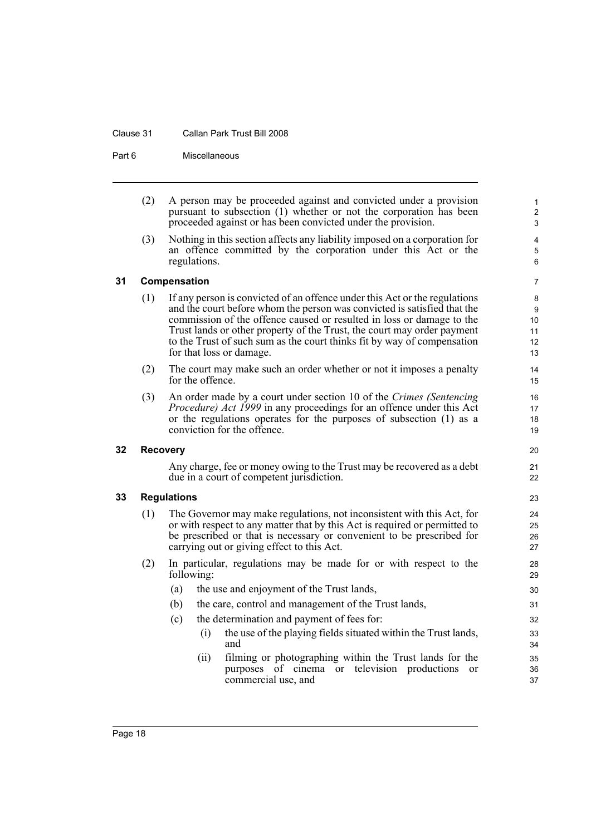#### Clause 31 Callan Park Trust Bill 2008

Part 6 Miscellaneous

(2) A person may be proceeded against and convicted under a provision pursuant to subsection (1) whether or not the corporation has been proceeded against or has been convicted under the provision.

(3) Nothing in this section affects any liability imposed on a corporation for an offence committed by the corporation under this Act or the regulations.

#### <span id="page-25-0"></span>**31 Compensation**

- (1) If any person is convicted of an offence under this Act or the regulations and the court before whom the person was convicted is satisfied that the commission of the offence caused or resulted in loss or damage to the Trust lands or other property of the Trust, the court may order payment to the Trust of such sum as the court thinks fit by way of compensation for that loss or damage.
- (2) The court may make such an order whether or not it imposes a penalty for the offence.
- (3) An order made by a court under section 10 of the *Crimes (Sentencing Procedure) Act 1999* in any proceedings for an offence under this Act or the regulations operates for the purposes of subsection (1) as a conviction for the offence.

#### <span id="page-25-1"></span>**32 Recovery**

Any charge, fee or money owing to the Trust may be recovered as a debt due in a court of competent jurisdiction.

#### <span id="page-25-2"></span>**33 Regulations**

- (1) The Governor may make regulations, not inconsistent with this Act, for or with respect to any matter that by this Act is required or permitted to be prescribed or that is necessary or convenient to be prescribed for carrying out or giving effect to this Act.
- (2) In particular, regulations may be made for or with respect to the following:
	- (a) the use and enjoyment of the Trust lands,
	- (b) the care, control and management of the Trust lands,
	- (c) the determination and payment of fees for:
		- (i) the use of the playing fields situated within the Trust lands, and
		- (ii) filming or photographing within the Trust lands for the purposes of cinema or television productions or commercial use, and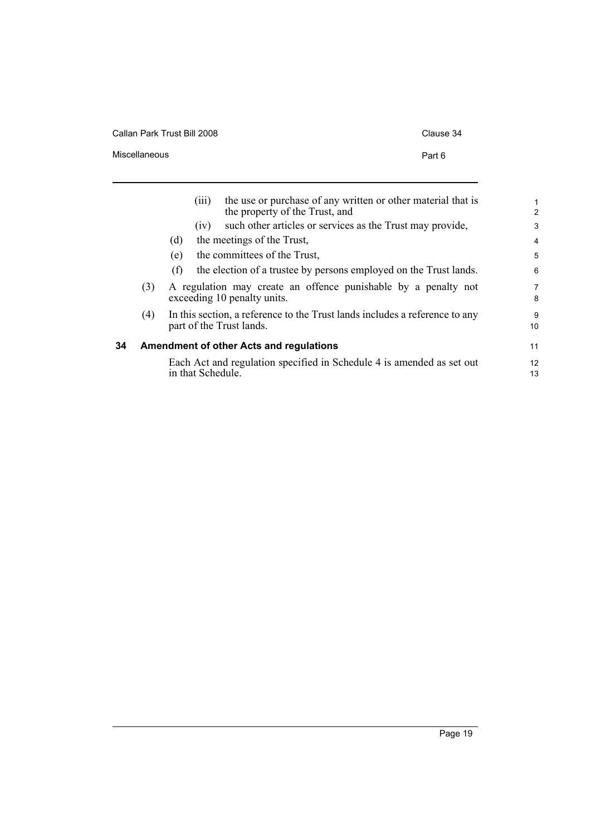Callan Park Trust Bill 2008 Clause 34

Miscellaneous **Part 6** 

<span id="page-26-0"></span>

|    |     | the use or purchase of any written or other material that is<br>(111)<br>the property of the Trust, and | $\mathbf{1}$<br>2   |
|----|-----|---------------------------------------------------------------------------------------------------------|---------------------|
|    |     | such other articles or services as the Trust may provide,<br>(1V)                                       | 3                   |
|    |     | the meetings of the Trust,<br>(d)                                                                       | $\overline{4}$      |
|    |     | the committees of the Trust,<br>(e)                                                                     | 5                   |
|    |     | the election of a trustee by persons employed on the Trust lands.<br>(f)                                | 6                   |
|    | (3) | A regulation may create an offence punishable by a penalty not<br>exceeding 10 penalty units.           | $\overline{7}$<br>8 |
|    | (4) | In this section, a reference to the Trust lands includes a reference to any<br>part of the Trust lands. | 9<br>10             |
| 34 |     | <b>Amendment of other Acts and regulations</b>                                                          | 11                  |
|    |     | Each Act and regulation specified in Schedule 4 is amended as set out<br>in that Schedule.              | 12<br>13            |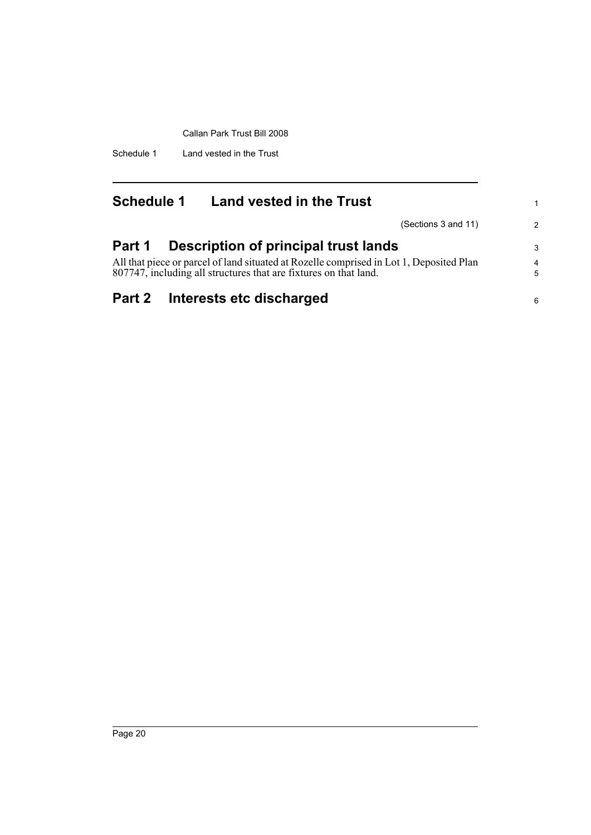Schedule 1 Land vested in the Trust

<span id="page-27-0"></span>

| <b>Schedule 1</b> | <b>Land vested in the Trust</b>                                                                                                                             |                     |
|-------------------|-------------------------------------------------------------------------------------------------------------------------------------------------------------|---------------------|
|                   | (Sections 3 and 11)                                                                                                                                         | $\mathcal{P}$       |
| Part 1            | Description of principal trust lands                                                                                                                        | 3                   |
|                   | All that piece or parcel of land situated at Rozelle comprised in Lot 1, Deposited Plan<br>807747, including all structures that are fixtures on that land. | $\overline{4}$<br>5 |
|                   | Part 2 Interests etc discharged                                                                                                                             | 6                   |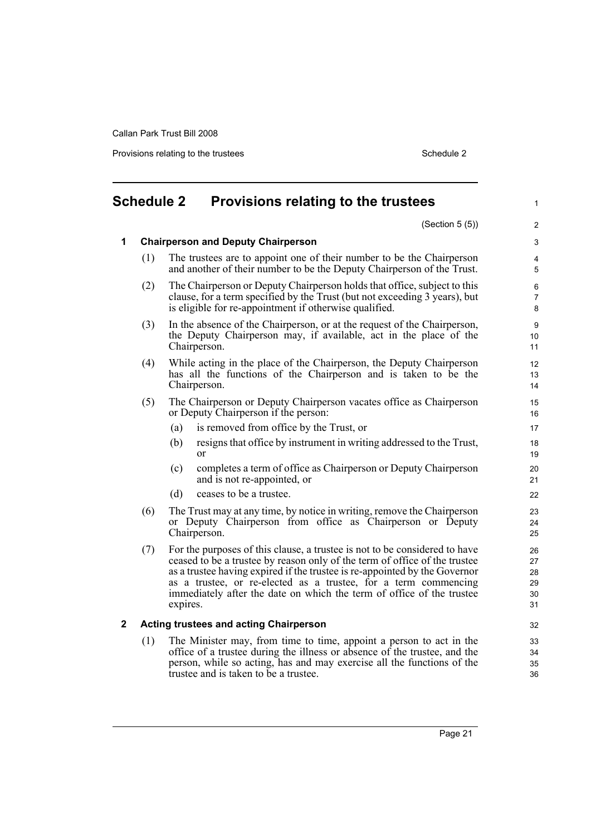Provisions relating to the trustees Schedule 2 and 2 and 2 and 2 and 2 and 2 and 2 and 2 and 2 and 2 and 2 and 2 and 2 and 2 and 2 and 2 and 2 and 2 and 2 and 2 and 2 and 2 and 2 and 2 and 2 and 2 and 2 and 2 and 2 and 2 a

#### <span id="page-28-0"></span>**Schedule 2 Provisions relating to the trustees** (Section 5 (5)) **1 Chairperson and Deputy Chairperson** (1) The trustees are to appoint one of their number to be the Chairperson and another of their number to be the Deputy Chairperson of the Trust. (2) The Chairperson or Deputy Chairperson holds that office, subject to this clause, for a term specified by the Trust (but not exceeding 3 years), but is eligible for re-appointment if otherwise qualified. (3) In the absence of the Chairperson, or at the request of the Chairperson, the Deputy Chairperson may, if available, act in the place of the Chairperson. (4) While acting in the place of the Chairperson, the Deputy Chairperson has all the functions of the Chairperson and is taken to be the Chairperson. (5) The Chairperson or Deputy Chairperson vacates office as Chairperson or Deputy Chairperson if the person: (a) is removed from office by the Trust, or (b) resigns that office by instrument in writing addressed to the Trust, or (c) completes a term of office as Chairperson or Deputy Chairperson and is not re-appointed, or (d) ceases to be a trustee. (6) The Trust may at any time, by notice in writing, remove the Chairperson or Deputy Chairperson from office as Chairperson or Deputy Chairperson. (7) For the purposes of this clause, a trustee is not to be considered to have ceased to be a trustee by reason only of the term of office of the trustee as a trustee having expired if the trustee is re-appointed by the Governor as a trustee, or re-elected as a trustee, for a term commencing immediately after the date on which the term of office of the trustee expires. **2 Acting trustees and acting Chairperson** (1) The Minister may, from time to time, appoint a person to act in the office of a trustee during the illness or absence of the trustee, and the person, while so acting, has and may exercise all the functions of the trustee and is taken to be a trustee. 1  $\overline{2}$ 3 4 5 6 7 8 9 10 11 12 13 14 15 16 17 18 19  $20$ 21 22 23 24 25 26 27 28 29 30 31 32 33 34 35 36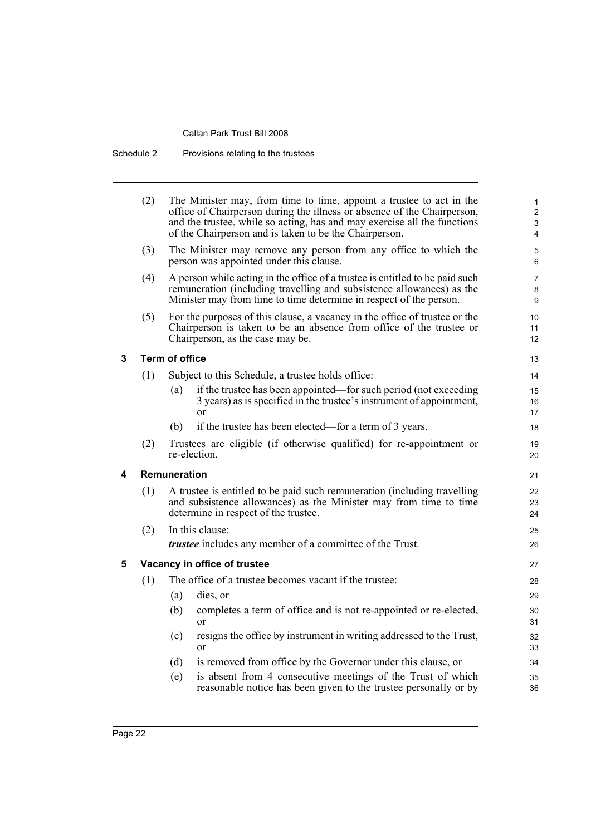Schedule 2 Provisions relating to the trustees

|   | (2) |                       | The Minister may, from time to time, appoint a trustee to act in the<br>office of Chairperson during the illness or absence of the Chairperson,<br>and the trustee, while so acting, has and may exercise all the functions<br>of the Chairperson and is taken to be the Chairperson. | $\mathbf{1}$<br>$\overline{c}$<br>3<br>$\overline{4}$ |
|---|-----|-----------------------|---------------------------------------------------------------------------------------------------------------------------------------------------------------------------------------------------------------------------------------------------------------------------------------|-------------------------------------------------------|
|   | (3) |                       | The Minister may remove any person from any office to which the<br>person was appointed under this clause.                                                                                                                                                                            | 5<br>6                                                |
|   | (4) |                       | A person while acting in the office of a trustee is entitled to be paid such<br>remuneration (including travelling and subsistence allowances) as the<br>Minister may from time to time determine in respect of the person.                                                           | $\overline{7}$<br>8<br>9                              |
|   | (5) |                       | For the purposes of this clause, a vacancy in the office of trustee or the<br>Chairperson is taken to be an absence from office of the trustee or<br>Chairperson, as the case may be.                                                                                                 | 10<br>11<br>12                                        |
| 3 |     | <b>Term of office</b> |                                                                                                                                                                                                                                                                                       | 13                                                    |
|   | (1) |                       | Subject to this Schedule, a trustee holds office:                                                                                                                                                                                                                                     | 14                                                    |
|   |     | (a)                   | if the trustee has been appointed—for such period (not exceeding<br>3 years) as is specified in the trustee's instrument of appointment,<br><sub>or</sub>                                                                                                                             | 15<br>16<br>17                                        |
|   |     | (b)                   | if the trustee has been elected—for a term of 3 years.                                                                                                                                                                                                                                | 18                                                    |
|   | (2) |                       | Trustees are eligible (if otherwise qualified) for re-appointment or<br>re-election.                                                                                                                                                                                                  | 19<br>20                                              |
| 4 |     | Remuneration          |                                                                                                                                                                                                                                                                                       | 21                                                    |
|   | (1) |                       | A trustee is entitled to be paid such remuneration (including travelling<br>and subsistence allowances) as the Minister may from time to time<br>determine in respect of the trustee.                                                                                                 | 22<br>23<br>24                                        |
|   | (2) |                       | In this clause:                                                                                                                                                                                                                                                                       | 25                                                    |
|   |     |                       | <i>trustee</i> includes any member of a committee of the Trust.                                                                                                                                                                                                                       | 26                                                    |
| 5 |     |                       | Vacancy in office of trustee                                                                                                                                                                                                                                                          | 27                                                    |
|   | (1) |                       | The office of a trustee becomes vacant if the trustee:                                                                                                                                                                                                                                | 28                                                    |
|   |     | (a)                   | dies, or                                                                                                                                                                                                                                                                              | 29                                                    |
|   |     | (b)                   | completes a term of office and is not re-appointed or re-elected,<br><sub>or</sub>                                                                                                                                                                                                    | 30<br>31                                              |
|   |     | (c)                   | resigns the office by instrument in writing addressed to the Trust,<br>$\alpha$                                                                                                                                                                                                       | 32<br>33                                              |
|   |     | (d)                   | is removed from office by the Governor under this clause, or                                                                                                                                                                                                                          | 34                                                    |
|   |     | (e)                   | is absent from 4 consecutive meetings of the Trust of which<br>reasonable notice has been given to the trustee personally or by                                                                                                                                                       | 35<br>36                                              |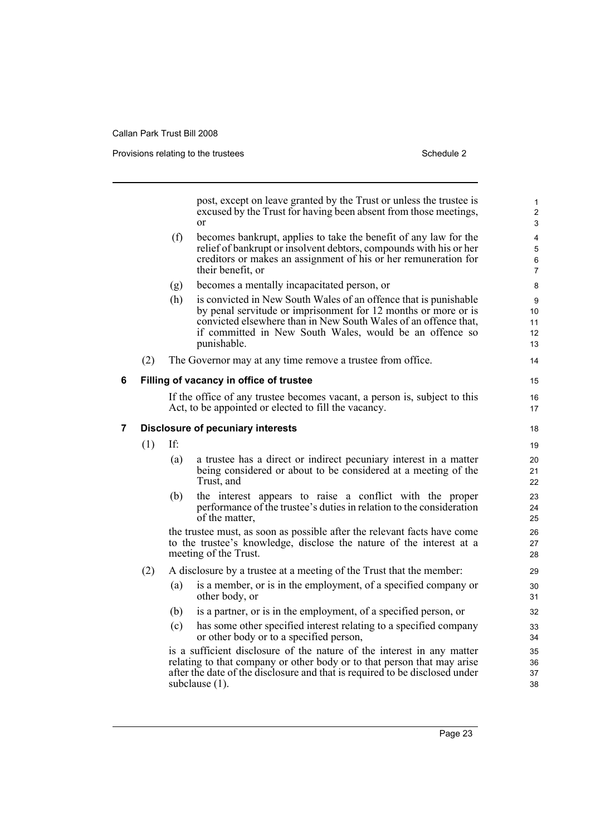Provisions relating to the trustees **Schedule 2** Schedule 2

|   |                                          |     | post, except on leave granted by the Trust or unless the trustee is<br>excused by the Trust for having been absent from those meetings,<br>$\alpha$                                                                                                                             | $\mathbf{1}$<br>2<br>3                     |  |
|---|------------------------------------------|-----|---------------------------------------------------------------------------------------------------------------------------------------------------------------------------------------------------------------------------------------------------------------------------------|--------------------------------------------|--|
|   |                                          | (f) | becomes bankrupt, applies to take the benefit of any law for the<br>relief of bankrupt or insolvent debtors, compounds with his or her<br>creditors or makes an assignment of his or her remuneration for<br>their benefit, or                                                  | 4<br>$\overline{5}$<br>6<br>$\overline{7}$ |  |
|   |                                          | (g) | becomes a mentally incapacitated person, or                                                                                                                                                                                                                                     | 8                                          |  |
|   |                                          | (h) | is convicted in New South Wales of an offence that is punishable<br>by penal servitude or imprisonment for 12 months or more or is<br>convicted elsewhere than in New South Wales of an offence that,<br>if committed in New South Wales, would be an offence so<br>punishable. | 9<br>10<br>11<br>12<br>13                  |  |
|   | (2)                                      |     | The Governor may at any time remove a trustee from office.                                                                                                                                                                                                                      | 14                                         |  |
| 6 | Filling of vacancy in office of trustee  |     |                                                                                                                                                                                                                                                                                 |                                            |  |
|   |                                          |     | If the office of any trustee becomes vacant, a person is, subject to this<br>Act, to be appointed or elected to fill the vacancy.                                                                                                                                               | 16<br>17                                   |  |
| 7 | <b>Disclosure of pecuniary interests</b> |     |                                                                                                                                                                                                                                                                                 |                                            |  |
|   | (1)                                      | If: |                                                                                                                                                                                                                                                                                 | 19                                         |  |
|   |                                          | (a) | a trustee has a direct or indirect pecuniary interest in a matter<br>being considered or about to be considered at a meeting of the<br>Trust, and                                                                                                                               | 20<br>21<br>22                             |  |
|   |                                          | (b) | the interest appears to raise a conflict with the proper<br>performance of the trustee's duties in relation to the consideration<br>of the matter,                                                                                                                              | 23<br>24<br>25                             |  |
|   |                                          |     | the trustee must, as soon as possible after the relevant facts have come<br>to the trustee's knowledge, disclose the nature of the interest at a<br>meeting of the Trust.                                                                                                       | 26<br>27<br>28                             |  |
|   | (2)                                      |     | A disclosure by a trustee at a meeting of the Trust that the member:                                                                                                                                                                                                            | 29                                         |  |
|   |                                          | (a) | is a member, or is in the employment, of a specified company or<br>other body, or                                                                                                                                                                                               | 30<br>31                                   |  |
|   |                                          | (b) | is a partner, or is in the employment, of a specified person, or                                                                                                                                                                                                                | 32                                         |  |
|   |                                          | (c) | has some other specified interest relating to a specified company<br>or other body or to a specified person,                                                                                                                                                                    | 33<br>34                                   |  |
|   |                                          |     | is a sufficient disclosure of the nature of the interest in any matter<br>relating to that company or other body or to that person that may arise<br>after the date of the disclosure and that is required to be disclosed under<br>subclause (1).                              | 35<br>36<br>37<br>38                       |  |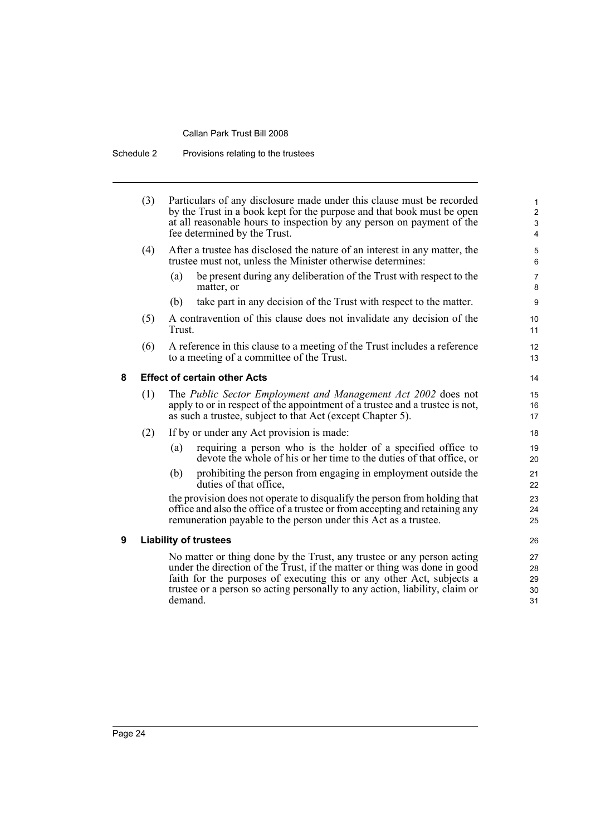Schedule 2 Provisions relating to the trustees

|   | (3)                                                                                                                                                                                                                                                                                                                    | Particulars of any disclosure made under this clause must be recorded<br>by the Trust in a book kept for the purpose and that book must be open<br>at all reasonable hours to inspection by any person on payment of the<br>fee determined by the Trust. |                            |  |
|---|------------------------------------------------------------------------------------------------------------------------------------------------------------------------------------------------------------------------------------------------------------------------------------------------------------------------|----------------------------------------------------------------------------------------------------------------------------------------------------------------------------------------------------------------------------------------------------------|----------------------------|--|
|   | (4)                                                                                                                                                                                                                                                                                                                    | After a trustee has disclosed the nature of an interest in any matter, the<br>trustee must not, unless the Minister otherwise determines:                                                                                                                | 5<br>6                     |  |
|   |                                                                                                                                                                                                                                                                                                                        | be present during any deliberation of the Trust with respect to the<br>(a)<br>matter, or                                                                                                                                                                 | $\overline{7}$<br>8        |  |
|   |                                                                                                                                                                                                                                                                                                                        | take part in any decision of the Trust with respect to the matter.<br>(b)                                                                                                                                                                                | 9                          |  |
|   | (5)                                                                                                                                                                                                                                                                                                                    | A contravention of this clause does not invalidate any decision of the<br>Trust.                                                                                                                                                                         |                            |  |
|   | (6)                                                                                                                                                                                                                                                                                                                    | A reference in this clause to a meeting of the Trust includes a reference<br>to a meeting of a committee of the Trust.                                                                                                                                   | 12<br>13                   |  |
| 8 |                                                                                                                                                                                                                                                                                                                        | <b>Effect of certain other Acts</b>                                                                                                                                                                                                                      | 14                         |  |
|   | (1)                                                                                                                                                                                                                                                                                                                    | The Public Sector Employment and Management Act 2002 does not<br>apply to or in respect of the appointment of a trustee and a trustee is not,<br>as such a trustee, subject to that Act (except Chapter 5).                                              |                            |  |
|   | (2)                                                                                                                                                                                                                                                                                                                    | If by or under any Act provision is made:                                                                                                                                                                                                                |                            |  |
|   |                                                                                                                                                                                                                                                                                                                        | requiring a person who is the holder of a specified office to<br>(a)<br>devote the whole of his or her time to the duties of that office, or                                                                                                             | 19<br>20                   |  |
|   |                                                                                                                                                                                                                                                                                                                        | prohibiting the person from engaging in employment outside the<br>(b)<br>duties of that office.                                                                                                                                                          | 21<br>22                   |  |
|   |                                                                                                                                                                                                                                                                                                                        | the provision does not operate to disqualify the person from holding that<br>office and also the office of a trustee or from accepting and retaining any<br>remuneration payable to the person under this Act as a trustee.                              | 23<br>24<br>25             |  |
| 9 |                                                                                                                                                                                                                                                                                                                        | <b>Liability of trustees</b>                                                                                                                                                                                                                             | 26                         |  |
|   | No matter or thing done by the Trust, any trustee or any person acting<br>under the direction of the Trust, if the matter or thing was done in good<br>faith for the purposes of executing this or any other Act, subjects a<br>trustee or a person so acting personally to any action, liability, claim or<br>demand. |                                                                                                                                                                                                                                                          | 27<br>28<br>29<br>30<br>31 |  |
|   |                                                                                                                                                                                                                                                                                                                        |                                                                                                                                                                                                                                                          |                            |  |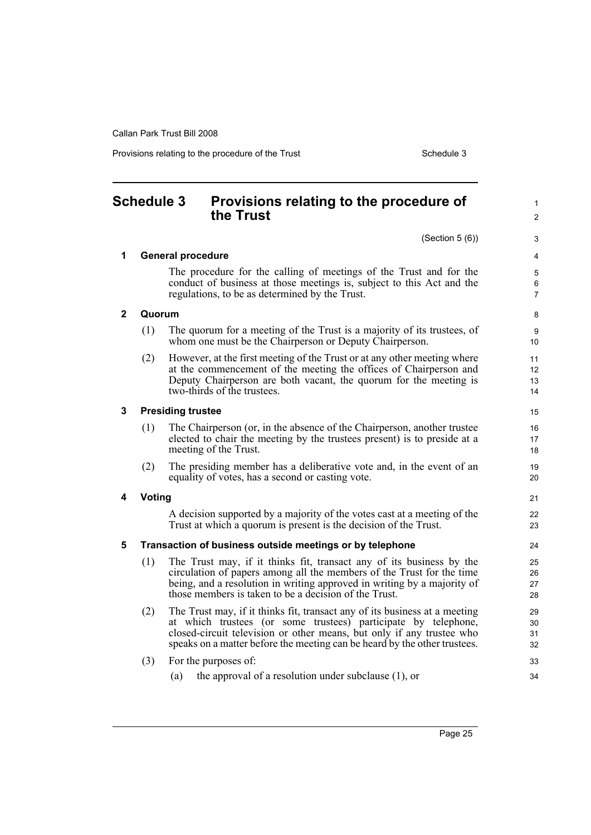Provisions relating to the procedure of the Trust Schedule 3

1  $\mathfrak{p}$ 

8  $\overline{Q}$ 

#### <span id="page-32-0"></span>**Schedule 3 Provisions relating to the procedure of the Trust** (Section 5 (6)) **1 General procedure** The procedure for the calling of meetings of the Trust and for the conduct of business at those meetings is, subject to this Act and the regulations, to be as determined by the Trust. **2 Quorum** (1) The quorum for a meeting of the Trust is a majority of its trustees, of whom one must be the Chairperson or Deputy Chairperson. (2) However, at the first meeting of the Trust or at any other meeting where at the commencement of the meeting the offices of Chairperson and Deputy Chairperson are both vacant, the quorum for the meeting is two-thirds of the trustees. **3 Presiding trustee** (1) The Chairperson (or, in the absence of the Chairperson, another trustee elected to chair the meeting by the trustees present) is to preside at a meeting of the Trust. (2) The presiding member has a deliberative vote and, in the event of an equality of votes, has a second or casting vote. **4 Voting** A decision supported by a majority of the votes cast at a meeting of the Trust at which a quorum is present is the decision of the Trust. **5 Transaction of business outside meetings or by telephone** (1) The Trust may, if it thinks fit, transact any of its business by the circulation of papers among all the members of the Trust for the time being, and a resolution in writing approved in writing by a majority of those members is taken to be a decision of the Trust. (2) The Trust may, if it thinks fit, transact any of its business at a meeting at which trustees (or some trustees) participate by telephone, closed-circuit television or other means, but only if any trustee who speaks on a matter before the meeting can be heard by the other trustees. (3) For the purposes of: (a) the approval of a resolution under subclause (1), or 10 11 12 13 14 15 16 17 18 19 20 21 22 23 24 25 26 27 28 29 30 31 32 33 34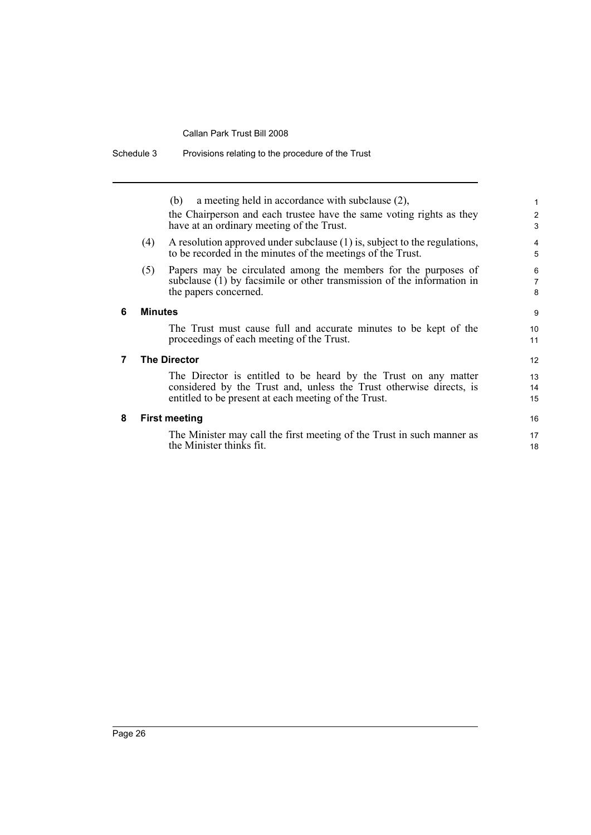|   |                     | a meeting held in accordance with subclause (2),<br>(b)<br>the Chairperson and each trustee have the same voting rights as they<br>have at an ordinary meeting of the Trust.                   | $\mathbf 1$<br>$\overline{c}$<br>3 |
|---|---------------------|------------------------------------------------------------------------------------------------------------------------------------------------------------------------------------------------|------------------------------------|
|   | (4)                 | A resolution approved under subclause (1) is, subject to the regulations,<br>to be recorded in the minutes of the meetings of the Trust.                                                       | $\overline{4}$<br>5                |
|   | (5)                 | Papers may be circulated among the members for the purposes of<br>subclause $(1)$ by facsimile or other transmission of the information in<br>the papers concerned.                            | 6<br>$\overline{7}$<br>8           |
| 6 | <b>Minutes</b>      |                                                                                                                                                                                                | 9                                  |
|   |                     | The Trust must cause full and accurate minutes to be kept of the<br>proceedings of each meeting of the Trust.                                                                                  | 10<br>11                           |
| 7 | <b>The Director</b> |                                                                                                                                                                                                | 12                                 |
|   |                     | The Director is entitled to be heard by the Trust on any matter<br>considered by the Trust and, unless the Trust otherwise directs, is<br>entitled to be present at each meeting of the Trust. | 13<br>14<br>15                     |
| 8 |                     | <b>First meeting</b>                                                                                                                                                                           | 16                                 |
|   |                     | The Minister may call the first meeting of the Trust in such manner as<br>the Minister thinks fit.                                                                                             | 17<br>18                           |

Schedule 3 Provisions relating to the procedure of the Trust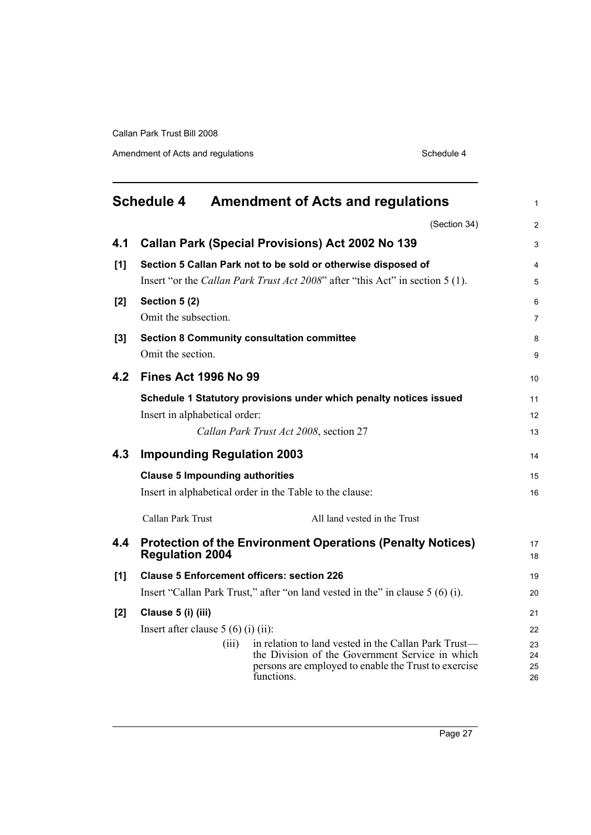Amendment of Acts and regulations **Schedule 4** Schedule 4

<span id="page-34-0"></span>

|       | <b>Schedule 4</b>                      | <b>Amendment of Acts and regulations</b>                                                                              | $\mathbf{1}$   |  |  |
|-------|----------------------------------------|-----------------------------------------------------------------------------------------------------------------------|----------------|--|--|
|       |                                        | (Section 34)                                                                                                          | $\overline{c}$ |  |  |
| 4.1   |                                        | <b>Callan Park (Special Provisions) Act 2002 No 139</b>                                                               | 3              |  |  |
| [1]   |                                        | Section 5 Callan Park not to be sold or otherwise disposed of                                                         | 4              |  |  |
|       |                                        | Insert "or the Callan Park Trust Act 2008" after "this Act" in section 5 (1).                                         | 5              |  |  |
| [2]   | Section 5 (2)                          |                                                                                                                       | 6              |  |  |
|       | Omit the subsection.                   |                                                                                                                       | 7              |  |  |
| $[3]$ |                                        | <b>Section 8 Community consultation committee</b>                                                                     | 8              |  |  |
|       | Omit the section.                      |                                                                                                                       | 9              |  |  |
| 4.2   | <b>Fines Act 1996 No 99</b>            |                                                                                                                       | 10             |  |  |
|       |                                        | Schedule 1 Statutory provisions under which penalty notices issued                                                    | 11             |  |  |
|       | Insert in alphabetical order:          |                                                                                                                       | 12             |  |  |
|       |                                        | Callan Park Trust Act 2008, section 27                                                                                | 13             |  |  |
| 4.3   | <b>Impounding Regulation 2003</b>      |                                                                                                                       | 14             |  |  |
|       | <b>Clause 5 Impounding authorities</b> |                                                                                                                       | 15             |  |  |
|       |                                        | Insert in alphabetical order in the Table to the clause:                                                              | 16             |  |  |
|       | Callan Park Trust                      | All land vested in the Trust                                                                                          |                |  |  |
| 4.4   | <b>Regulation 2004</b>                 | <b>Protection of the Environment Operations (Penalty Notices)</b>                                                     | 17<br>18       |  |  |
| [1]   |                                        | <b>Clause 5 Enforcement officers: section 226</b>                                                                     | 19             |  |  |
|       |                                        | Insert "Callan Park Trust," after "on land vested in the" in clause 5 (6) (i).                                        | 20             |  |  |
| [2]   | Clause 5 (i) (iii)                     |                                                                                                                       | 21             |  |  |
|       | Insert after clause $5(6)(i)(ii)$ :    |                                                                                                                       |                |  |  |
|       |                                        | in relation to land vested in the Callan Park Trust—<br>(iii)                                                         | 23             |  |  |
|       |                                        | the Division of the Government Service in which<br>persons are employed to enable the Trust to exercise<br>functions. | 24<br>25<br>26 |  |  |
|       |                                        |                                                                                                                       |                |  |  |